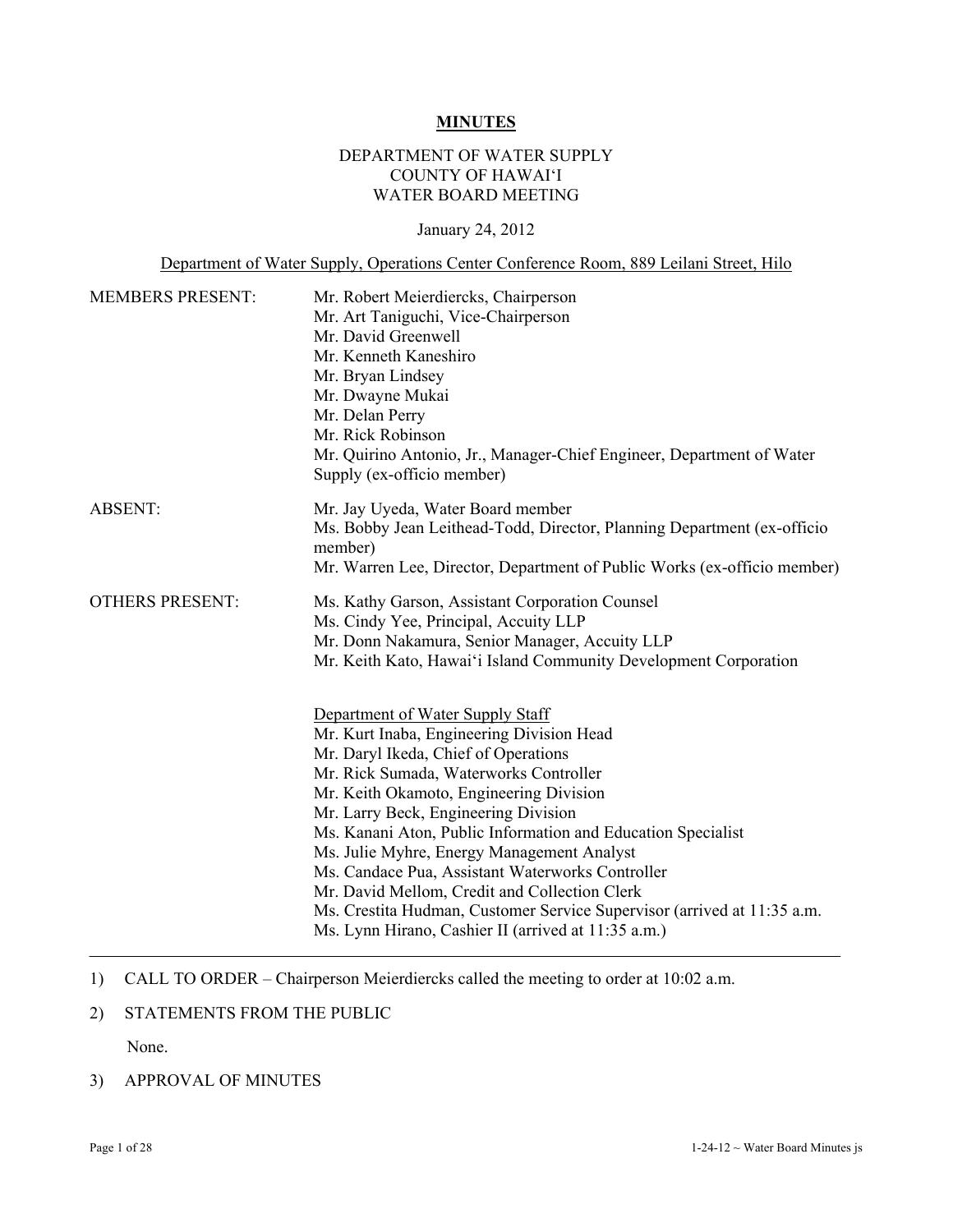#### **MINUTES**

## DEPARTMENT OF WATER SUPPLY COUNTY OF HAWAI'I WATER BOARD MEETING

#### January 24, 2012

Department of Water Supply, Operations Center Conference Room, 889 Leilani Street, Hilo

| <b>MEMBERS PRESENT:</b> | Mr. Robert Meierdiercks, Chairperson                                              |
|-------------------------|-----------------------------------------------------------------------------------|
|                         | Mr. Art Taniguchi, Vice-Chairperson                                               |
|                         | Mr. David Greenwell                                                               |
|                         | Mr. Kenneth Kaneshiro                                                             |
|                         | Mr. Bryan Lindsey                                                                 |
|                         | Mr. Dwayne Mukai                                                                  |
|                         | Mr. Delan Perry                                                                   |
|                         | Mr. Rick Robinson                                                                 |
|                         | Mr. Quirino Antonio, Jr., Manager-Chief Engineer, Department of Water             |
|                         | Supply (ex-officio member)                                                        |
| <b>ABSENT:</b>          | Mr. Jay Uyeda, Water Board member                                                 |
|                         | Ms. Bobby Jean Leithead-Todd, Director, Planning Department (ex-officio           |
|                         | member)                                                                           |
|                         | Mr. Warren Lee, Director, Department of Public Works (ex-officio member)          |
| <b>OTHERS PRESENT:</b>  | Ms. Kathy Garson, Assistant Corporation Counsel                                   |
|                         | Ms. Cindy Yee, Principal, Accuity LLP                                             |
|                         | Mr. Donn Nakamura, Senior Manager, Accuity LLP                                    |
|                         | Mr. Keith Kato, Hawai'i Island Community Development Corporation                  |
|                         |                                                                                   |
|                         | Department of Water Supply Staff                                                  |
|                         | Mr. Kurt Inaba, Engineering Division Head<br>Mr. Daryl Ikeda, Chief of Operations |
|                         | Mr. Rick Sumada, Waterworks Controller                                            |
|                         | Mr. Keith Okamoto, Engineering Division                                           |
|                         | Mr. Larry Beck, Engineering Division                                              |
|                         | Ms. Kanani Aton, Public Information and Education Specialist                      |
|                         | Ms. Julie Myhre, Energy Management Analyst                                        |
|                         | Ms. Candace Pua, Assistant Waterworks Controller                                  |
|                         | Mr. David Mellom, Credit and Collection Clerk                                     |
|                         |                                                                                   |
|                         | Ms. Crestita Hudman, Customer Service Supervisor (arrived at 11:35 a.m.           |

1) CALL TO ORDER – Chairperson Meierdiercks called the meeting to order at 10:02 a.m.

## 2) STATEMENTS FROM THE PUBLIC

None.

3) APPROVAL OF MINUTES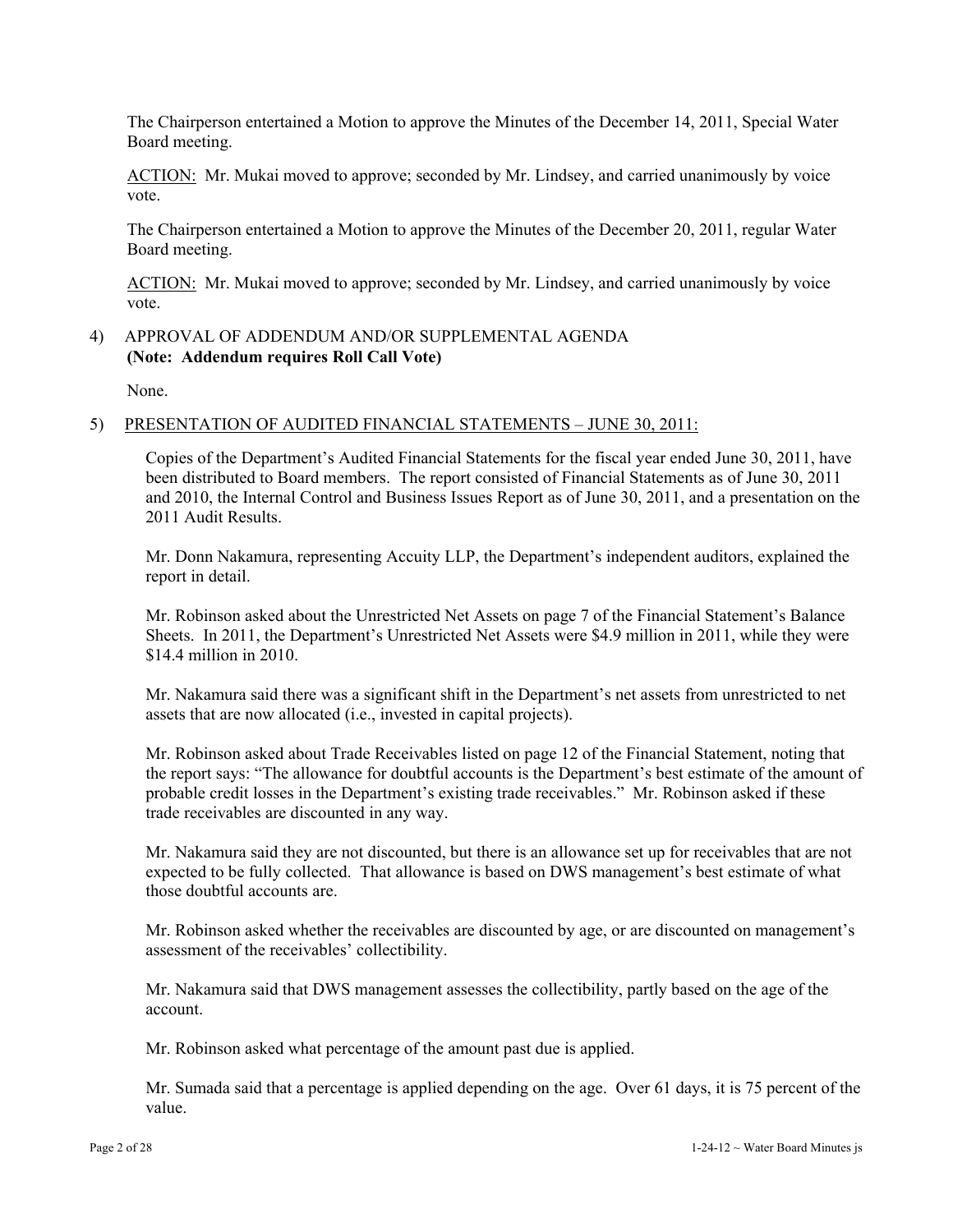The Chairperson entertained a Motion to approve the Minutes of the December 14, 2011, Special Water Board meeting.

ACTION: Mr. Mukai moved to approve; seconded by Mr. Lindsey, and carried unanimously by voice vote.

The Chairperson entertained a Motion to approve the Minutes of the December 20, 2011, regular Water Board meeting.

ACTION: Mr. Mukai moved to approve; seconded by Mr. Lindsey, and carried unanimously by voice vote.

#### 4) APPROVAL OF ADDENDUM AND/OR SUPPLEMENTAL AGENDA **(Note: Addendum requires Roll Call Vote)**

None.

#### 5) PRESENTATION OF AUDITED FINANCIAL STATEMENTS – JUNE 30, 2011:

Copies of the Department's Audited Financial Statements for the fiscal year ended June 30, 2011, have been distributed to Board members. The report consisted of Financial Statements as of June 30, 2011 and 2010, the Internal Control and Business Issues Report as of June 30, 2011, and a presentation on the 2011 Audit Results.

Mr. Donn Nakamura, representing Accuity LLP, the Department's independent auditors, explained the report in detail.

Mr. Robinson asked about the Unrestricted Net Assets on page 7 of the Financial Statement's Balance Sheets. In 2011, the Department's Unrestricted Net Assets were \$4.9 million in 2011, while they were \$14.4 million in 2010.

Mr. Nakamura said there was a significant shift in the Department's net assets from unrestricted to net assets that are now allocated (i.e., invested in capital projects).

Mr. Robinson asked about Trade Receivables listed on page 12 of the Financial Statement, noting that the report says: "The allowance for doubtful accounts is the Department's best estimate of the amount of probable credit losses in the Department's existing trade receivables." Mr. Robinson asked if these trade receivables are discounted in any way.

Mr. Nakamura said they are not discounted, but there is an allowance set up for receivables that are not expected to be fully collected. That allowance is based on DWS management's best estimate of what those doubtful accounts are.

Mr. Robinson asked whether the receivables are discounted by age, or are discounted on management's assessment of the receivables' collectibility.

Mr. Nakamura said that DWS management assesses the collectibility, partly based on the age of the account.

Mr. Robinson asked what percentage of the amount past due is applied.

Mr. Sumada said that a percentage is applied depending on the age. Over 61 days, it is 75 percent of the value.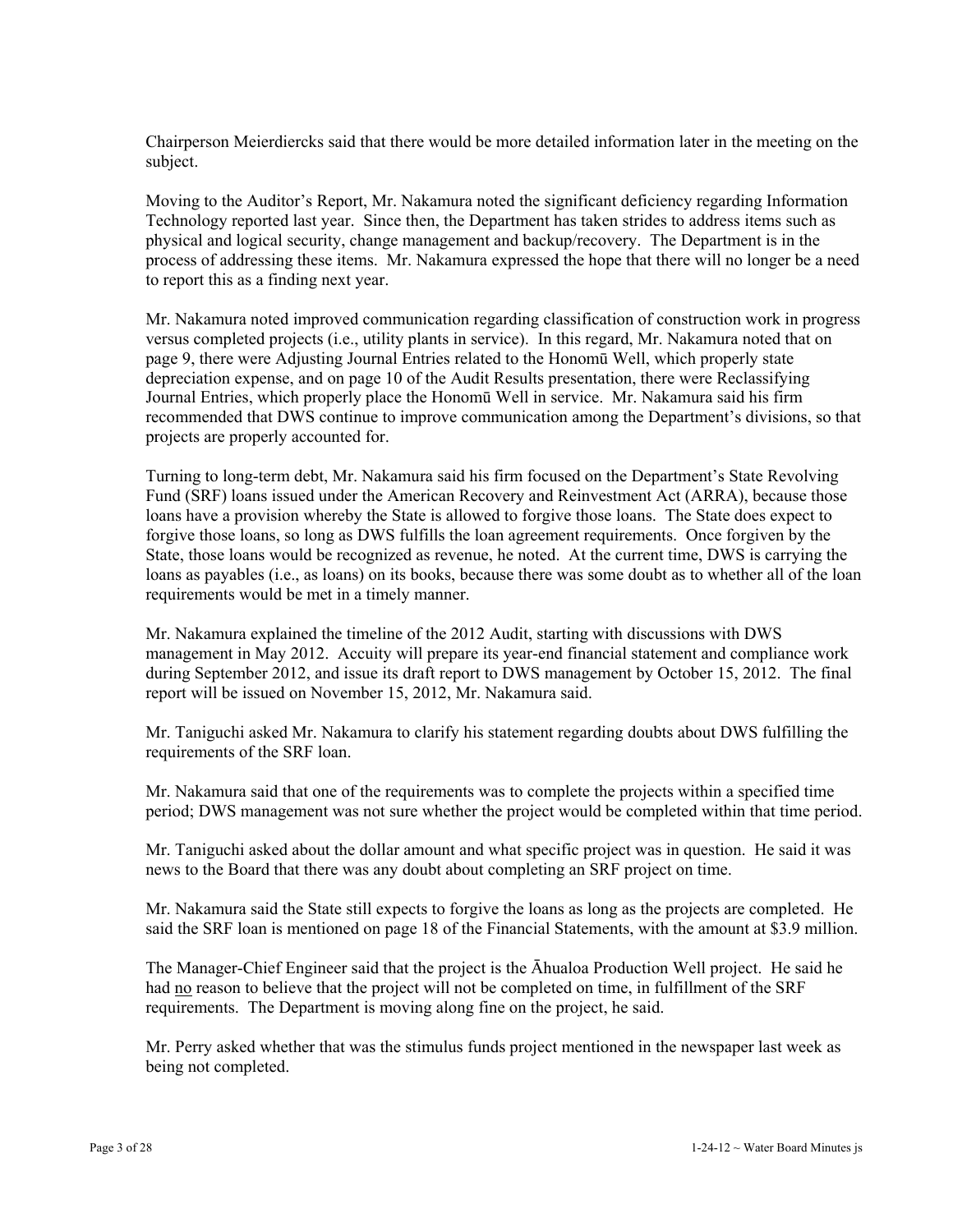Chairperson Meierdiercks said that there would be more detailed information later in the meeting on the subject.

Moving to the Auditor's Report, Mr. Nakamura noted the significant deficiency regarding Information Technology reported last year. Since then, the Department has taken strides to address items such as physical and logical security, change management and backup/recovery. The Department is in the process of addressing these items. Mr. Nakamura expressed the hope that there will no longer be a need to report this as a finding next year.

Mr. Nakamura noted improved communication regarding classification of construction work in progress versus completed projects (i.e., utility plants in service). In this regard, Mr. Nakamura noted that on page 9, there were Adjusting Journal Entries related to the Honomū Well, which properly state depreciation expense, and on page 10 of the Audit Results presentation, there were Reclassifying Journal Entries, which properly place the Honomū Well in service. Mr. Nakamura said his firm recommended that DWS continue to improve communication among the Department's divisions, so that projects are properly accounted for.

Turning to long-term debt, Mr. Nakamura said his firm focused on the Department's State Revolving Fund (SRF) loans issued under the American Recovery and Reinvestment Act (ARRA), because those loans have a provision whereby the State is allowed to forgive those loans. The State does expect to forgive those loans, so long as DWS fulfills the loan agreement requirements. Once forgiven by the State, those loans would be recognized as revenue, he noted. At the current time, DWS is carrying the loans as payables (i.e., as loans) on its books, because there was some doubt as to whether all of the loan requirements would be met in a timely manner.

Mr. Nakamura explained the timeline of the 2012 Audit, starting with discussions with DWS management in May 2012. Accuity will prepare its year-end financial statement and compliance work during September 2012, and issue its draft report to DWS management by October 15, 2012. The final report will be issued on November 15, 2012, Mr. Nakamura said.

Mr. Taniguchi asked Mr. Nakamura to clarify his statement regarding doubts about DWS fulfilling the requirements of the SRF loan.

Mr. Nakamura said that one of the requirements was to complete the projects within a specified time period; DWS management was not sure whether the project would be completed within that time period.

Mr. Taniguchi asked about the dollar amount and what specific project was in question. He said it was news to the Board that there was any doubt about completing an SRF project on time.

Mr. Nakamura said the State still expects to forgive the loans as long as the projects are completed. He said the SRF loan is mentioned on page 18 of the Financial Statements, with the amount at \$3.9 million.

The Manager-Chief Engineer said that the project is the Āhualoa Production Well project. He said he had no reason to believe that the project will not be completed on time, in fulfillment of the SRF requirements. The Department is moving along fine on the project, he said.

Mr. Perry asked whether that was the stimulus funds project mentioned in the newspaper last week as being not completed.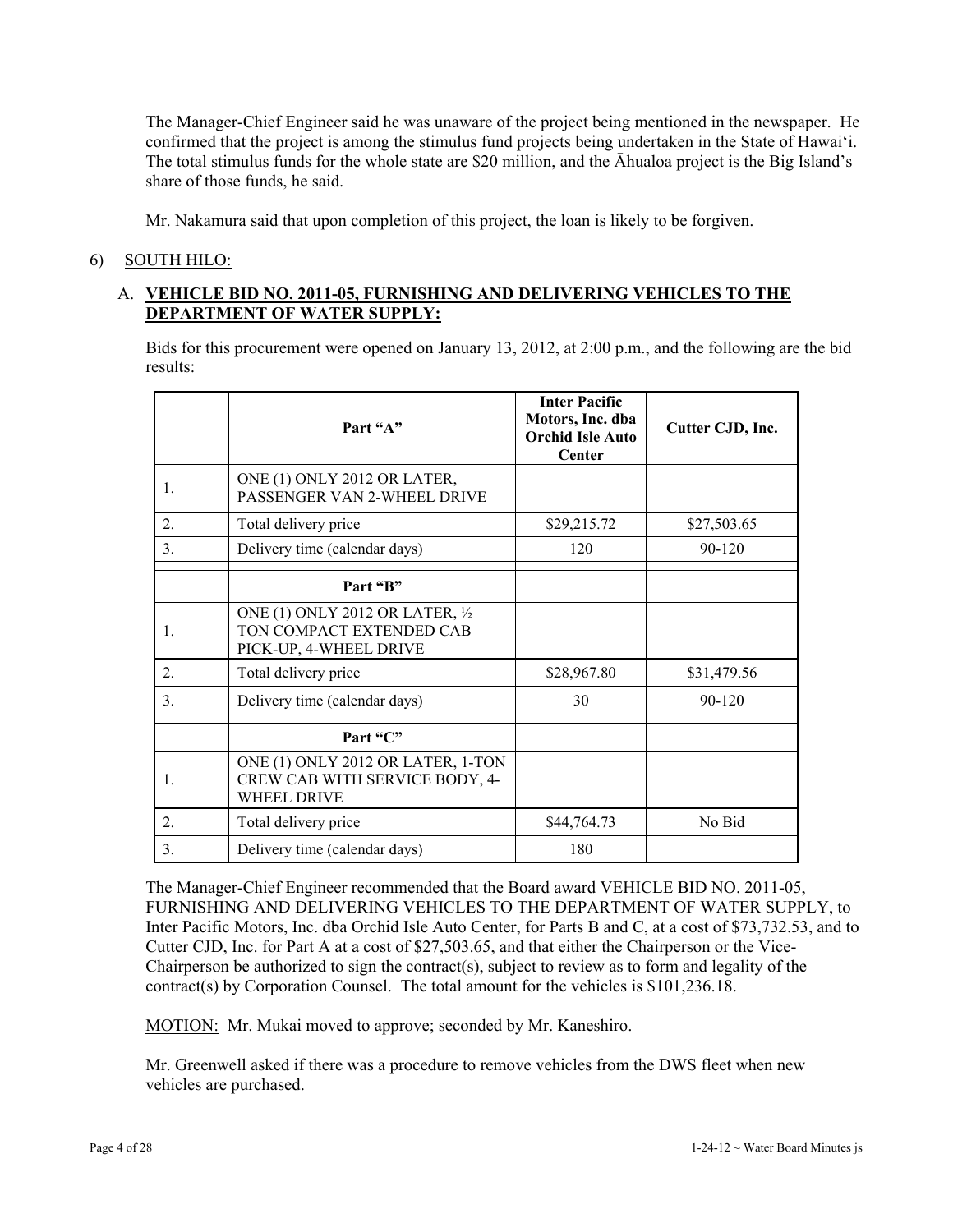The Manager-Chief Engineer said he was unaware of the project being mentioned in the newspaper. He confirmed that the project is among the stimulus fund projects being undertaken in the State of Hawai'i. The total stimulus funds for the whole state are \$20 million, and the Āhualoa project is the Big Island's share of those funds, he said.

Mr. Nakamura said that upon completion of this project, the loan is likely to be forgiven.

## 6) SOUTH HILO:

## A. **VEHICLE BID NO. 2011-05, FURNISHING AND DELIVERING VEHICLES TO THE DEPARTMENT OF WATER SUPPLY:**

Bids for this procurement were opened on January 13, 2012, at 2:00 p.m., and the following are the bid results:

|                  | Part "A"                                                                                  | <b>Inter Pacific</b><br>Motors, Inc. dba<br><b>Orchid Isle Auto</b><br>Center | Cutter CJD, Inc. |
|------------------|-------------------------------------------------------------------------------------------|-------------------------------------------------------------------------------|------------------|
| $\mathbf{1}$ .   | ONE (1) ONLY 2012 OR LATER,<br>PASSENGER VAN 2-WHEEL DRIVE                                |                                                                               |                  |
| $\overline{2}$ . | Total delivery price                                                                      | \$29,215.72                                                                   | \$27,503.65      |
| 3.               | Delivery time (calendar days)                                                             | 120                                                                           | 90-120           |
|                  | Part "B"                                                                                  |                                                                               |                  |
| $\mathbf{1}$ .   | ONE (1) ONLY 2012 OR LATER, 1/2<br>TON COMPACT EXTENDED CAB<br>PICK-UP, 4-WHEEL DRIVE     |                                                                               |                  |
| $\overline{2}$ . | Total delivery price                                                                      | \$28,967.80                                                                   | \$31,479.56      |
| 3.               | Delivery time (calendar days)                                                             | 30                                                                            | 90-120           |
|                  | Part "C"                                                                                  |                                                                               |                  |
| 1.               | ONE (1) ONLY 2012 OR LATER, 1-TON<br>CREW CAB WITH SERVICE BODY, 4-<br><b>WHEEL DRIVE</b> |                                                                               |                  |
| $\overline{2}$ . | Total delivery price                                                                      | \$44,764.73                                                                   | No Bid           |
| 3.               | Delivery time (calendar days)                                                             | 180                                                                           |                  |

The Manager-Chief Engineer recommended that the Board award VEHICLE BID NO. 2011-05, FURNISHING AND DELIVERING VEHICLES TO THE DEPARTMENT OF WATER SUPPLY, to Inter Pacific Motors, Inc. dba Orchid Isle Auto Center, for Parts B and C, at a cost of \$73,732.53, and to Cutter CJD, Inc. for Part A at a cost of \$27,503.65, and that either the Chairperson or the Vice-Chairperson be authorized to sign the contract(s), subject to review as to form and legality of the contract(s) by Corporation Counsel. The total amount for the vehicles is \$101,236.18.

MOTION: Mr. Mukai moved to approve; seconded by Mr. Kaneshiro.

Mr. Greenwell asked if there was a procedure to remove vehicles from the DWS fleet when new vehicles are purchased.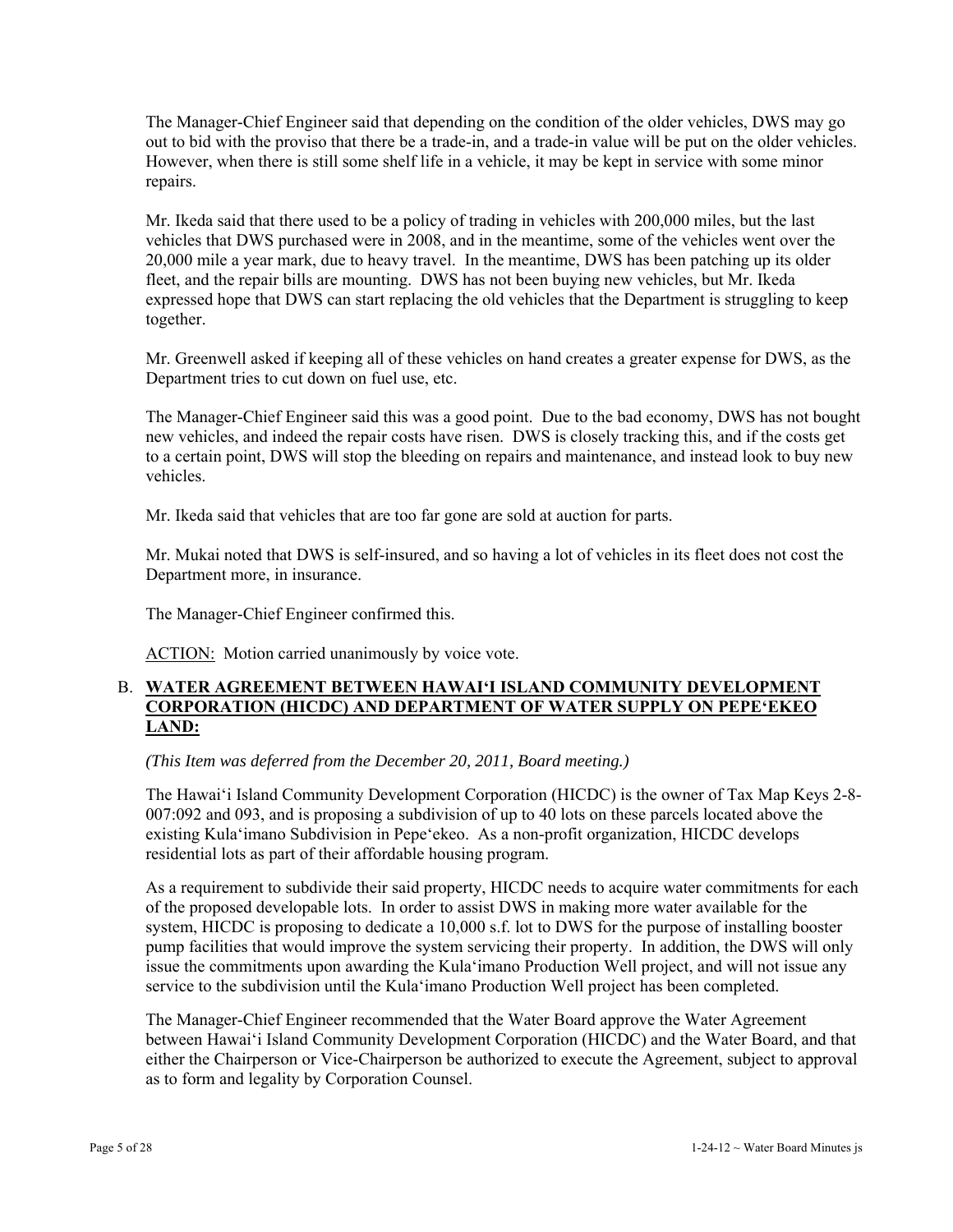The Manager-Chief Engineer said that depending on the condition of the older vehicles, DWS may go out to bid with the proviso that there be a trade-in, and a trade-in value will be put on the older vehicles. However, when there is still some shelf life in a vehicle, it may be kept in service with some minor repairs.

Mr. Ikeda said that there used to be a policy of trading in vehicles with 200,000 miles, but the last vehicles that DWS purchased were in 2008, and in the meantime, some of the vehicles went over the 20,000 mile a year mark, due to heavy travel. In the meantime, DWS has been patching up its older fleet, and the repair bills are mounting. DWS has not been buying new vehicles, but Mr. Ikeda expressed hope that DWS can start replacing the old vehicles that the Department is struggling to keep together.

Mr. Greenwell asked if keeping all of these vehicles on hand creates a greater expense for DWS, as the Department tries to cut down on fuel use, etc.

The Manager-Chief Engineer said this was a good point. Due to the bad economy, DWS has not bought new vehicles, and indeed the repair costs have risen. DWS is closely tracking this, and if the costs get to a certain point, DWS will stop the bleeding on repairs and maintenance, and instead look to buy new vehicles.

Mr. Ikeda said that vehicles that are too far gone are sold at auction for parts.

Mr. Mukai noted that DWS is self-insured, and so having a lot of vehicles in its fleet does not cost the Department more, in insurance.

The Manager-Chief Engineer confirmed this.

ACTION: Motion carried unanimously by voice vote.

#### B. **WATER AGREEMENT BETWEEN HAWAI'I ISLAND COMMUNITY DEVELOPMENT CORPORATION (HICDC) AND DEPARTMENT OF WATER SUPPLY ON PEPE'EKEO LAND:**

*(This Item was deferred from the December 20, 2011, Board meeting.)* 

The Hawai'i Island Community Development Corporation (HICDC) is the owner of Tax Map Keys 2-8- 007:092 and 093, and is proposing a subdivision of up to 40 lots on these parcels located above the existing Kula'imano Subdivision in Pepe'ekeo. As a non-profit organization, HICDC develops residential lots as part of their affordable housing program.

As a requirement to subdivide their said property, HICDC needs to acquire water commitments for each of the proposed developable lots. In order to assist DWS in making more water available for the system, HICDC is proposing to dedicate a 10,000 s.f. lot to DWS for the purpose of installing booster pump facilities that would improve the system servicing their property. In addition, the DWS will only issue the commitments upon awarding the Kula'imano Production Well project, and will not issue any service to the subdivision until the Kula'imano Production Well project has been completed.

The Manager-Chief Engineer recommended that the Water Board approve the Water Agreement between Hawai'i Island Community Development Corporation (HICDC) and the Water Board, and that either the Chairperson or Vice-Chairperson be authorized to execute the Agreement, subject to approval as to form and legality by Corporation Counsel.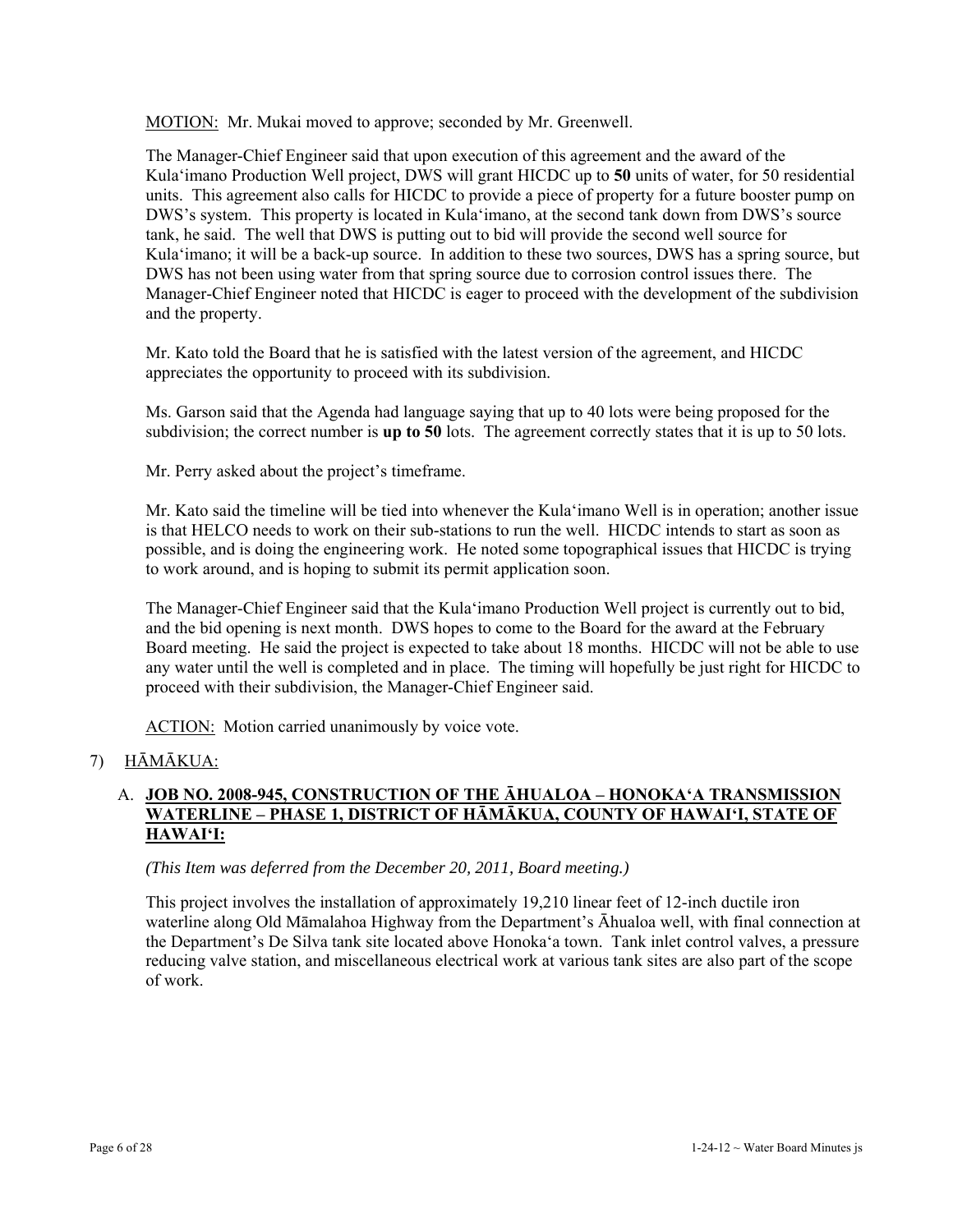MOTION: Mr. Mukai moved to approve; seconded by Mr. Greenwell.

The Manager-Chief Engineer said that upon execution of this agreement and the award of the Kula'imano Production Well project, DWS will grant HICDC up to **50** units of water, for 50 residential units. This agreement also calls for HICDC to provide a piece of property for a future booster pump on DWS's system. This property is located in Kula'imano, at the second tank down from DWS's source tank, he said. The well that DWS is putting out to bid will provide the second well source for Kula'imano; it will be a back-up source. In addition to these two sources, DWS has a spring source, but DWS has not been using water from that spring source due to corrosion control issues there. The Manager-Chief Engineer noted that HICDC is eager to proceed with the development of the subdivision and the property.

Mr. Kato told the Board that he is satisfied with the latest version of the agreement, and HICDC appreciates the opportunity to proceed with its subdivision.

Ms. Garson said that the Agenda had language saying that up to 40 lots were being proposed for the subdivision; the correct number is **up to 50** lots. The agreement correctly states that it is up to 50 lots.

Mr. Perry asked about the project's timeframe.

Mr. Kato said the timeline will be tied into whenever the Kula'imano Well is in operation; another issue is that HELCO needs to work on their sub-stations to run the well. HICDC intends to start as soon as possible, and is doing the engineering work. He noted some topographical issues that HICDC is trying to work around, and is hoping to submit its permit application soon.

The Manager-Chief Engineer said that the Kula'imano Production Well project is currently out to bid, and the bid opening is next month. DWS hopes to come to the Board for the award at the February Board meeting. He said the project is expected to take about 18 months. HICDC will not be able to use any water until the well is completed and in place. The timing will hopefully be just right for HICDC to proceed with their subdivision, the Manager-Chief Engineer said.

ACTION: Motion carried unanimously by voice vote.

# 7) HĀMĀKUA:

# A. **JOB NO. 2008-945, CONSTRUCTION OF THE ĀHUALOA – HONOKA'A TRANSMISSION WATERLINE – PHASE 1, DISTRICT OF HĀMĀKUA, COUNTY OF HAWAI'I, STATE OF HAWAI'I:**

*(This Item was deferred from the December 20, 2011, Board meeting.)* 

This project involves the installation of approximately 19,210 linear feet of 12-inch ductile iron waterline along Old Māmalahoa Highway from the Department's Āhualoa well, with final connection at the Department's De Silva tank site located above Honoka'a town. Tank inlet control valves, a pressure reducing valve station, and miscellaneous electrical work at various tank sites are also part of the scope of work.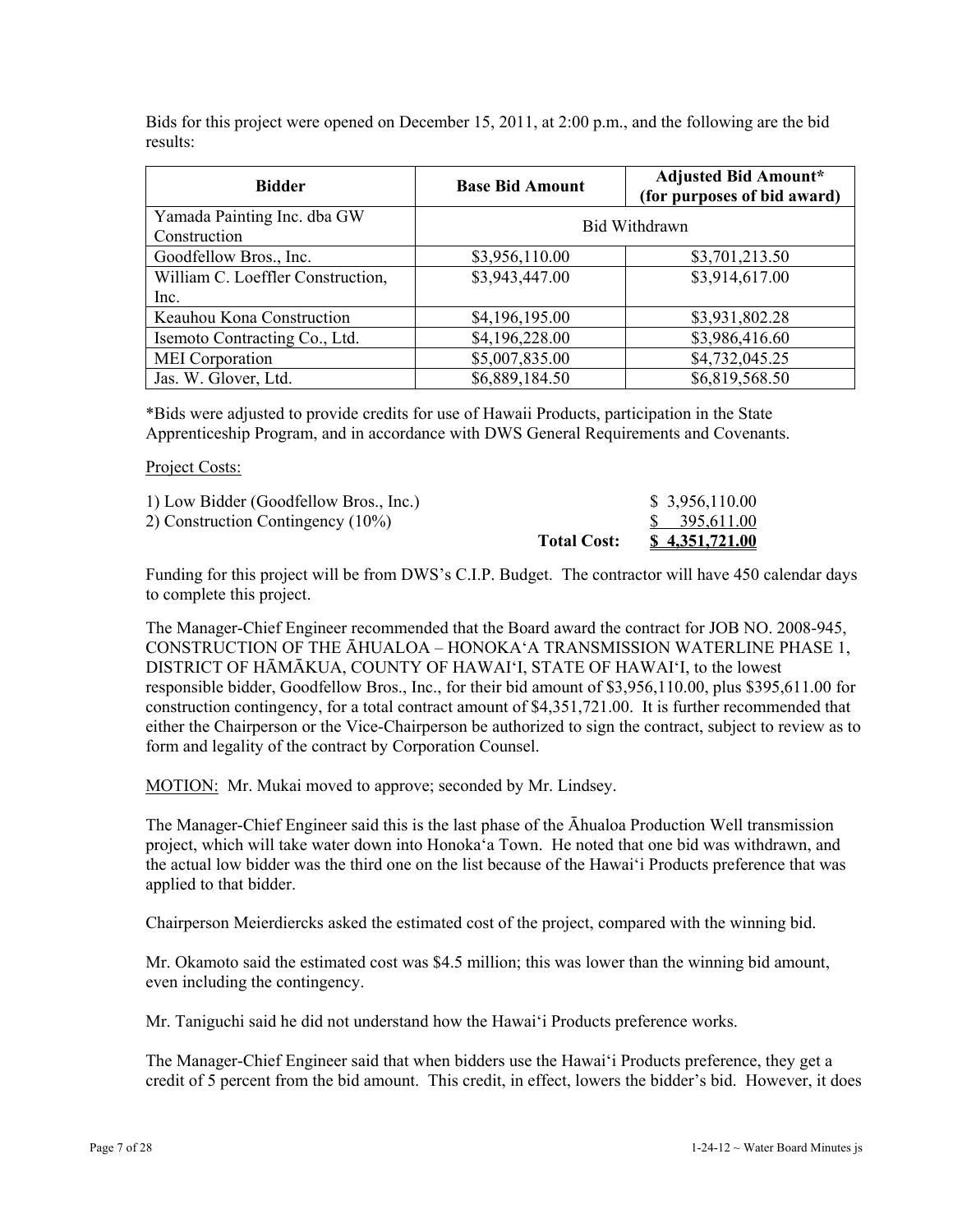Bids for this project were opened on December 15, 2011, at 2:00 p.m., and the following are the bid results:

| <b>Bidder</b>                               | <b>Base Bid Amount</b> | <b>Adjusted Bid Amount*</b><br>(for purposes of bid award) |  |
|---------------------------------------------|------------------------|------------------------------------------------------------|--|
| Yamada Painting Inc. dba GW<br>Construction | Bid Withdrawn          |                                                            |  |
| Goodfellow Bros., Inc.                      | \$3,956,110.00         | \$3,701,213.50                                             |  |
| William C. Loeffler Construction,           | \$3,943,447.00         | \$3,914,617.00                                             |  |
| Inc.                                        |                        |                                                            |  |
| Keauhou Kona Construction                   | \$4,196,195.00         | \$3,931,802.28                                             |  |
| Isemoto Contracting Co., Ltd.               | \$4,196,228.00         | \$3,986,416.60                                             |  |
| <b>MEI</b> Corporation                      | \$5,007,835.00         | \$4,732,045.25                                             |  |
| Jas. W. Glover, Ltd.                        | \$6,889,184.50         | \$6,819,568.50                                             |  |

\*Bids were adjusted to provide credits for use of Hawaii Products, participation in the State Apprenticeship Program, and in accordance with DWS General Requirements and Covenants.

#### Project Costs:

|                                        | <b>Total Cost:</b> | <u>\$4,351,721.00</u> |
|----------------------------------------|--------------------|-----------------------|
| 2) Construction Contingency (10%)      |                    | \$395,611.00          |
| 1) Low Bidder (Goodfellow Bros., Inc.) |                    | \$3,956,110.00        |

Funding for this project will be from DWS's C.I.P. Budget. The contractor will have 450 calendar days to complete this project.

The Manager-Chief Engineer recommended that the Board award the contract for JOB NO. 2008-945, CONSTRUCTION OF THE ĀHUALOA – HONOKA'A TRANSMISSION WATERLINE PHASE 1, DISTRICT OF HĀMĀKUA, COUNTY OF HAWAI'I, STATE OF HAWAI'I, to the lowest responsible bidder, Goodfellow Bros., Inc., for their bid amount of \$3,956,110.00, plus \$395,611.00 for construction contingency, for a total contract amount of \$4,351,721.00. It is further recommended that either the Chairperson or the Vice-Chairperson be authorized to sign the contract, subject to review as to form and legality of the contract by Corporation Counsel.

MOTION: Mr. Mukai moved to approve; seconded by Mr. Lindsey.

The Manager-Chief Engineer said this is the last phase of the Āhualoa Production Well transmission project, which will take water down into Honoka'a Town. He noted that one bid was withdrawn, and the actual low bidder was the third one on the list because of the Hawai'i Products preference that was applied to that bidder.

Chairperson Meierdiercks asked the estimated cost of the project, compared with the winning bid.

Mr. Okamoto said the estimated cost was \$4.5 million; this was lower than the winning bid amount, even including the contingency.

Mr. Taniguchi said he did not understand how the Hawai'i Products preference works.

The Manager-Chief Engineer said that when bidders use the Hawai'i Products preference, they get a credit of 5 percent from the bid amount. This credit, in effect, lowers the bidder's bid. However, it does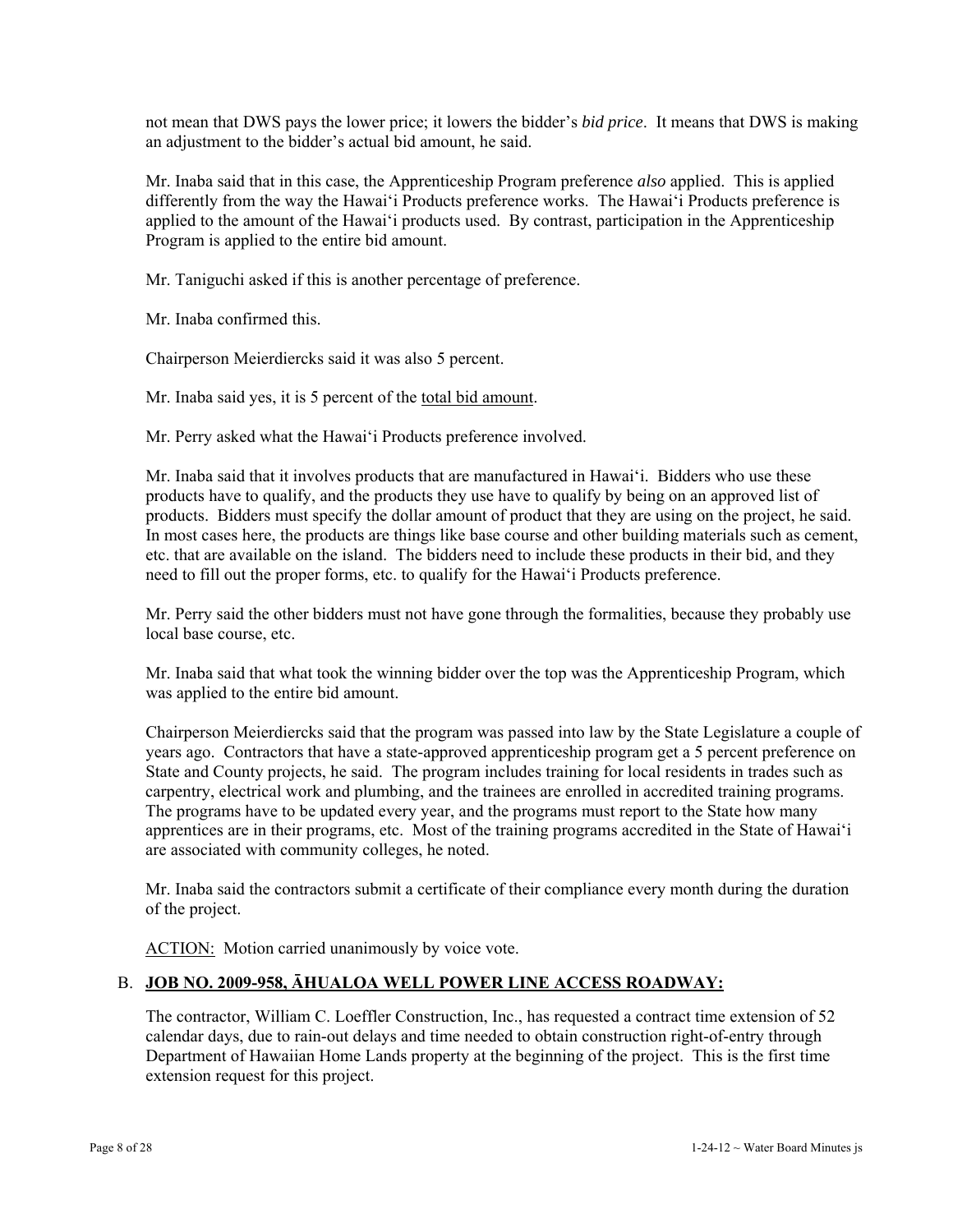not mean that DWS pays the lower price; it lowers the bidder's *bid price*. It means that DWS is making an adjustment to the bidder's actual bid amount, he said.

Mr. Inaba said that in this case, the Apprenticeship Program preference *also* applied. This is applied differently from the way the Hawai'i Products preference works. The Hawai'i Products preference is applied to the amount of the Hawai'i products used. By contrast, participation in the Apprenticeship Program is applied to the entire bid amount.

Mr. Taniguchi asked if this is another percentage of preference.

Mr. Inaba confirmed this.

Chairperson Meierdiercks said it was also 5 percent.

Mr. Inaba said yes, it is 5 percent of the total bid amount.

Mr. Perry asked what the Hawai'i Products preference involved.

Mr. Inaba said that it involves products that are manufactured in Hawai'i. Bidders who use these products have to qualify, and the products they use have to qualify by being on an approved list of products. Bidders must specify the dollar amount of product that they are using on the project, he said. In most cases here, the products are things like base course and other building materials such as cement, etc. that are available on the island. The bidders need to include these products in their bid, and they need to fill out the proper forms, etc. to qualify for the Hawai'i Products preference.

Mr. Perry said the other bidders must not have gone through the formalities, because they probably use local base course, etc.

Mr. Inaba said that what took the winning bidder over the top was the Apprenticeship Program, which was applied to the entire bid amount.

Chairperson Meierdiercks said that the program was passed into law by the State Legislature a couple of years ago. Contractors that have a state-approved apprenticeship program get a 5 percent preference on State and County projects, he said. The program includes training for local residents in trades such as carpentry, electrical work and plumbing, and the trainees are enrolled in accredited training programs. The programs have to be updated every year, and the programs must report to the State how many apprentices are in their programs, etc. Most of the training programs accredited in the State of Hawai'i are associated with community colleges, he noted.

Mr. Inaba said the contractors submit a certificate of their compliance every month during the duration of the project.

ACTION: Motion carried unanimously by voice vote.

# B. **JOB NO. 2009-958, ĀHUALOA WELL POWER LINE ACCESS ROADWAY:**

The contractor, William C. Loeffler Construction, Inc., has requested a contract time extension of 52 calendar days, due to rain-out delays and time needed to obtain construction right-of-entry through Department of Hawaiian Home Lands property at the beginning of the project. This is the first time extension request for this project.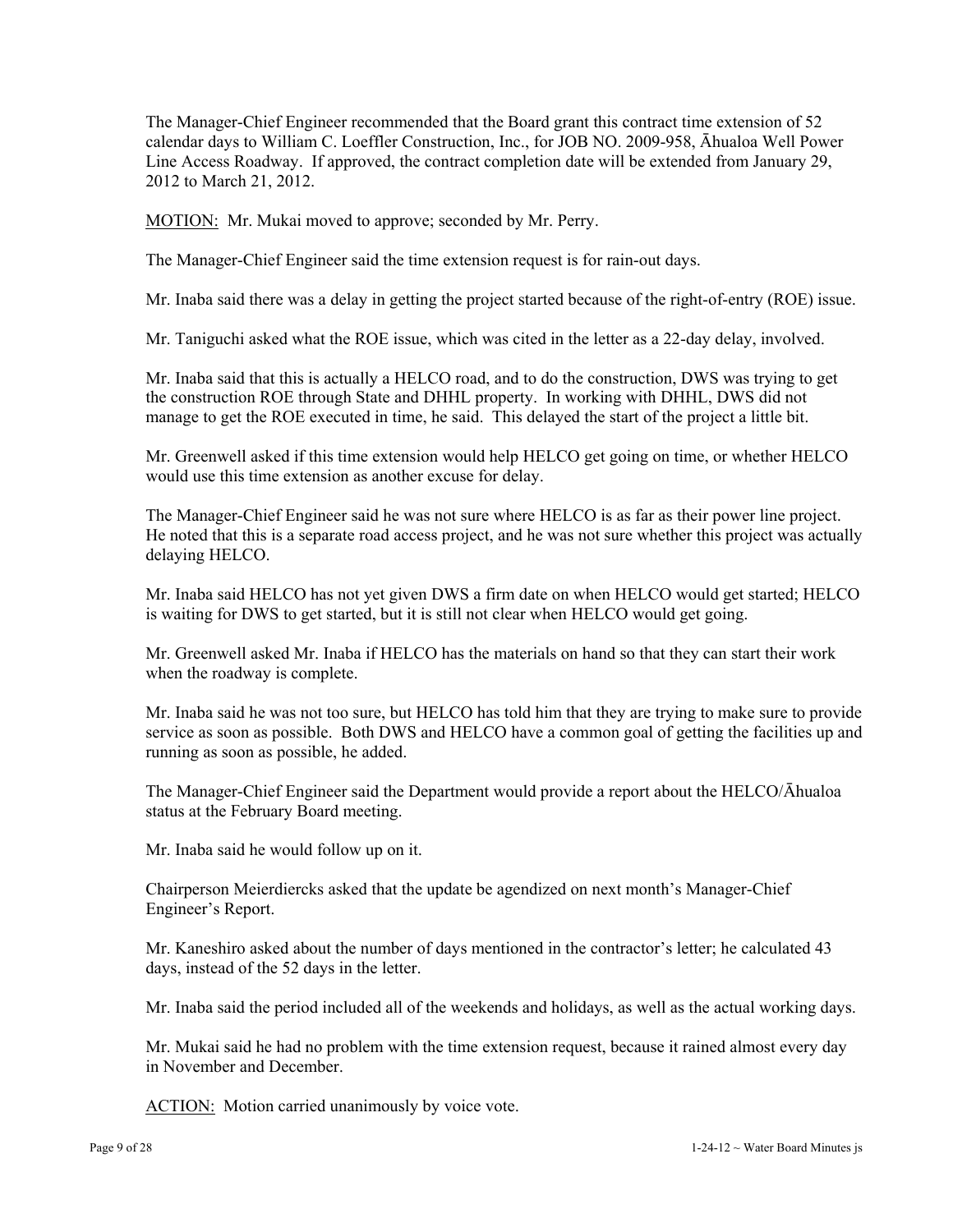The Manager-Chief Engineer recommended that the Board grant this contract time extension of 52 calendar days to William C. Loeffler Construction, Inc., for JOB NO. 2009-958, Āhualoa Well Power Line Access Roadway. If approved, the contract completion date will be extended from January 29, 2012 to March 21, 2012.

MOTION: Mr. Mukai moved to approve; seconded by Mr. Perry.

The Manager-Chief Engineer said the time extension request is for rain-out days.

Mr. Inaba said there was a delay in getting the project started because of the right-of-entry (ROE) issue.

Mr. Taniguchi asked what the ROE issue, which was cited in the letter as a 22-day delay, involved.

Mr. Inaba said that this is actually a HELCO road, and to do the construction, DWS was trying to get the construction ROE through State and DHHL property. In working with DHHL, DWS did not manage to get the ROE executed in time, he said. This delayed the start of the project a little bit.

Mr. Greenwell asked if this time extension would help HELCO get going on time, or whether HELCO would use this time extension as another excuse for delay.

The Manager-Chief Engineer said he was not sure where HELCO is as far as their power line project. He noted that this is a separate road access project, and he was not sure whether this project was actually delaying HELCO.

Mr. Inaba said HELCO has not yet given DWS a firm date on when HELCO would get started; HELCO is waiting for DWS to get started, but it is still not clear when HELCO would get going.

Mr. Greenwell asked Mr. Inaba if HELCO has the materials on hand so that they can start their work when the roadway is complete.

Mr. Inaba said he was not too sure, but HELCO has told him that they are trying to make sure to provide service as soon as possible. Both DWS and HELCO have a common goal of getting the facilities up and running as soon as possible, he added.

The Manager-Chief Engineer said the Department would provide a report about the HELCO/Āhualoa status at the February Board meeting.

Mr. Inaba said he would follow up on it.

Chairperson Meierdiercks asked that the update be agendized on next month's Manager-Chief Engineer's Report.

Mr. Kaneshiro asked about the number of days mentioned in the contractor's letter; he calculated 43 days, instead of the 52 days in the letter.

Mr. Inaba said the period included all of the weekends and holidays, as well as the actual working days.

Mr. Mukai said he had no problem with the time extension request, because it rained almost every day in November and December.

ACTION: Motion carried unanimously by voice vote.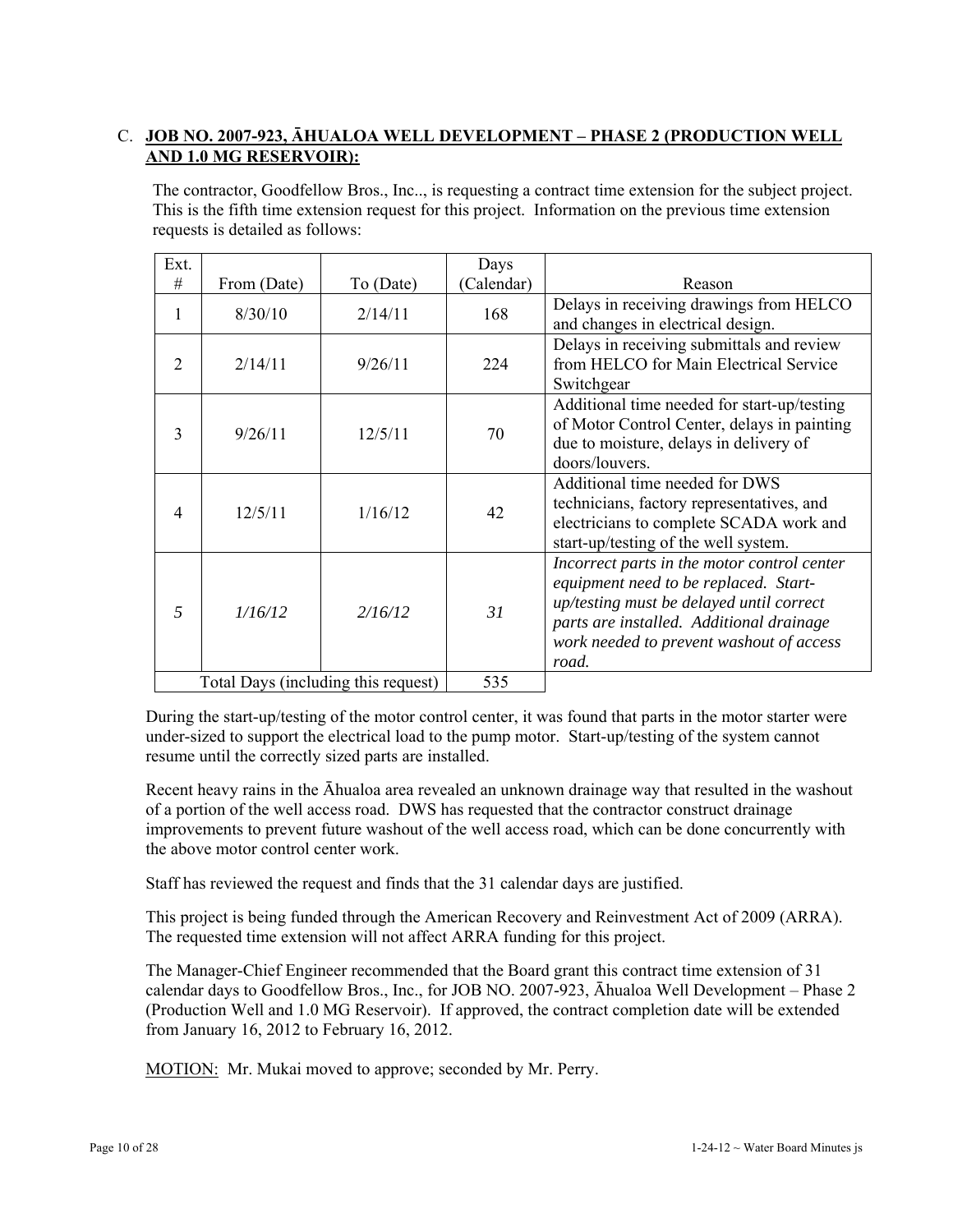# C. **JOB NO. 2007-923, ĀHUALOA WELL DEVELOPMENT – PHASE 2 (PRODUCTION WELL AND 1.0 MG RESERVOIR):**

The contractor, Goodfellow Bros., Inc.., is requesting a contract time extension for the subject project. This is the fifth time extension request for this project. Information on the previous time extension requests is detailed as follows:

| Ext.                                |             |           | Days       |                                                                                                                                                                                                                                   |
|-------------------------------------|-------------|-----------|------------|-----------------------------------------------------------------------------------------------------------------------------------------------------------------------------------------------------------------------------------|
| #                                   | From (Date) | To (Date) | (Calendar) | Reason                                                                                                                                                                                                                            |
| 1                                   | 8/30/10     | 2/14/11   | 168        | Delays in receiving drawings from HELCO<br>and changes in electrical design.                                                                                                                                                      |
| 2                                   | 2/14/11     | 9/26/11   | 224        | Delays in receiving submittals and review<br>from HELCO for Main Electrical Service<br>Switchgear                                                                                                                                 |
| 3                                   | 9/26/11     | 12/5/11   | 70         | Additional time needed for start-up/testing<br>of Motor Control Center, delays in painting<br>due to moisture, delays in delivery of<br>doors/louvers.                                                                            |
| $\overline{4}$                      | 12/5/11     | 1/16/12   | 42         | Additional time needed for DWS<br>technicians, factory representatives, and<br>electricians to complete SCADA work and<br>start-up/testing of the well system.                                                                    |
| 5                                   | 1/16/12     | 2/16/12   | 31         | Incorrect parts in the motor control center<br>equipment need to be replaced. Start-<br>up/testing must be delayed until correct<br>parts are installed. Additional drainage<br>work needed to prevent washout of access<br>road. |
| Total Days (including this request) |             | 535       |            |                                                                                                                                                                                                                                   |

During the start-up/testing of the motor control center, it was found that parts in the motor starter were under-sized to support the electrical load to the pump motor. Start-up/testing of the system cannot resume until the correctly sized parts are installed.

Recent heavy rains in the Āhualoa area revealed an unknown drainage way that resulted in the washout of a portion of the well access road. DWS has requested that the contractor construct drainage improvements to prevent future washout of the well access road, which can be done concurrently with the above motor control center work.

Staff has reviewed the request and finds that the 31 calendar days are justified.

This project is being funded through the American Recovery and Reinvestment Act of 2009 (ARRA). The requested time extension will not affect ARRA funding for this project.

The Manager-Chief Engineer recommended that the Board grant this contract time extension of 31 calendar days to Goodfellow Bros., Inc., for JOB NO. 2007-923, Āhualoa Well Development – Phase 2 (Production Well and 1.0 MG Reservoir). If approved, the contract completion date will be extended from January 16, 2012 to February 16, 2012.

MOTION: Mr. Mukai moved to approve; seconded by Mr. Perry.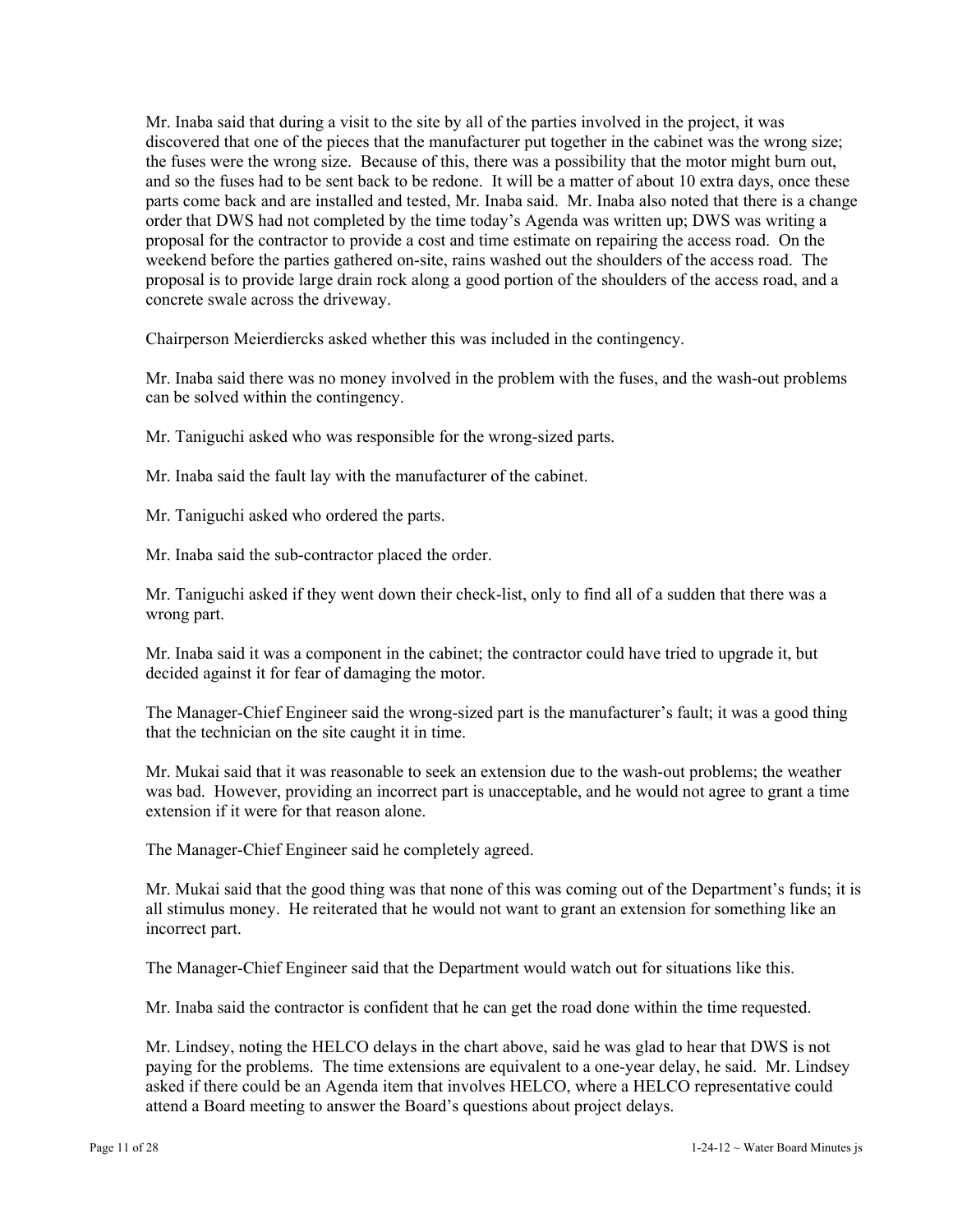Mr. Inaba said that during a visit to the site by all of the parties involved in the project, it was discovered that one of the pieces that the manufacturer put together in the cabinet was the wrong size; the fuses were the wrong size. Because of this, there was a possibility that the motor might burn out, and so the fuses had to be sent back to be redone. It will be a matter of about 10 extra days, once these parts come back and are installed and tested, Mr. Inaba said. Mr. Inaba also noted that there is a change order that DWS had not completed by the time today's Agenda was written up; DWS was writing a proposal for the contractor to provide a cost and time estimate on repairing the access road. On the weekend before the parties gathered on-site, rains washed out the shoulders of the access road. The proposal is to provide large drain rock along a good portion of the shoulders of the access road, and a concrete swale across the driveway.

Chairperson Meierdiercks asked whether this was included in the contingency.

Mr. Inaba said there was no money involved in the problem with the fuses, and the wash-out problems can be solved within the contingency.

Mr. Taniguchi asked who was responsible for the wrong-sized parts.

Mr. Inaba said the fault lay with the manufacturer of the cabinet.

Mr. Taniguchi asked who ordered the parts.

Mr. Inaba said the sub-contractor placed the order.

Mr. Taniguchi asked if they went down their check-list, only to find all of a sudden that there was a wrong part.

Mr. Inaba said it was a component in the cabinet; the contractor could have tried to upgrade it, but decided against it for fear of damaging the motor.

The Manager-Chief Engineer said the wrong-sized part is the manufacturer's fault; it was a good thing that the technician on the site caught it in time.

Mr. Mukai said that it was reasonable to seek an extension due to the wash-out problems; the weather was bad. However, providing an incorrect part is unacceptable, and he would not agree to grant a time extension if it were for that reason alone.

The Manager-Chief Engineer said he completely agreed.

Mr. Mukai said that the good thing was that none of this was coming out of the Department's funds; it is all stimulus money. He reiterated that he would not want to grant an extension for something like an incorrect part.

The Manager-Chief Engineer said that the Department would watch out for situations like this.

Mr. Inaba said the contractor is confident that he can get the road done within the time requested.

Mr. Lindsey, noting the HELCO delays in the chart above, said he was glad to hear that DWS is not paying for the problems. The time extensions are equivalent to a one-year delay, he said. Mr. Lindsey asked if there could be an Agenda item that involves HELCO, where a HELCO representative could attend a Board meeting to answer the Board's questions about project delays.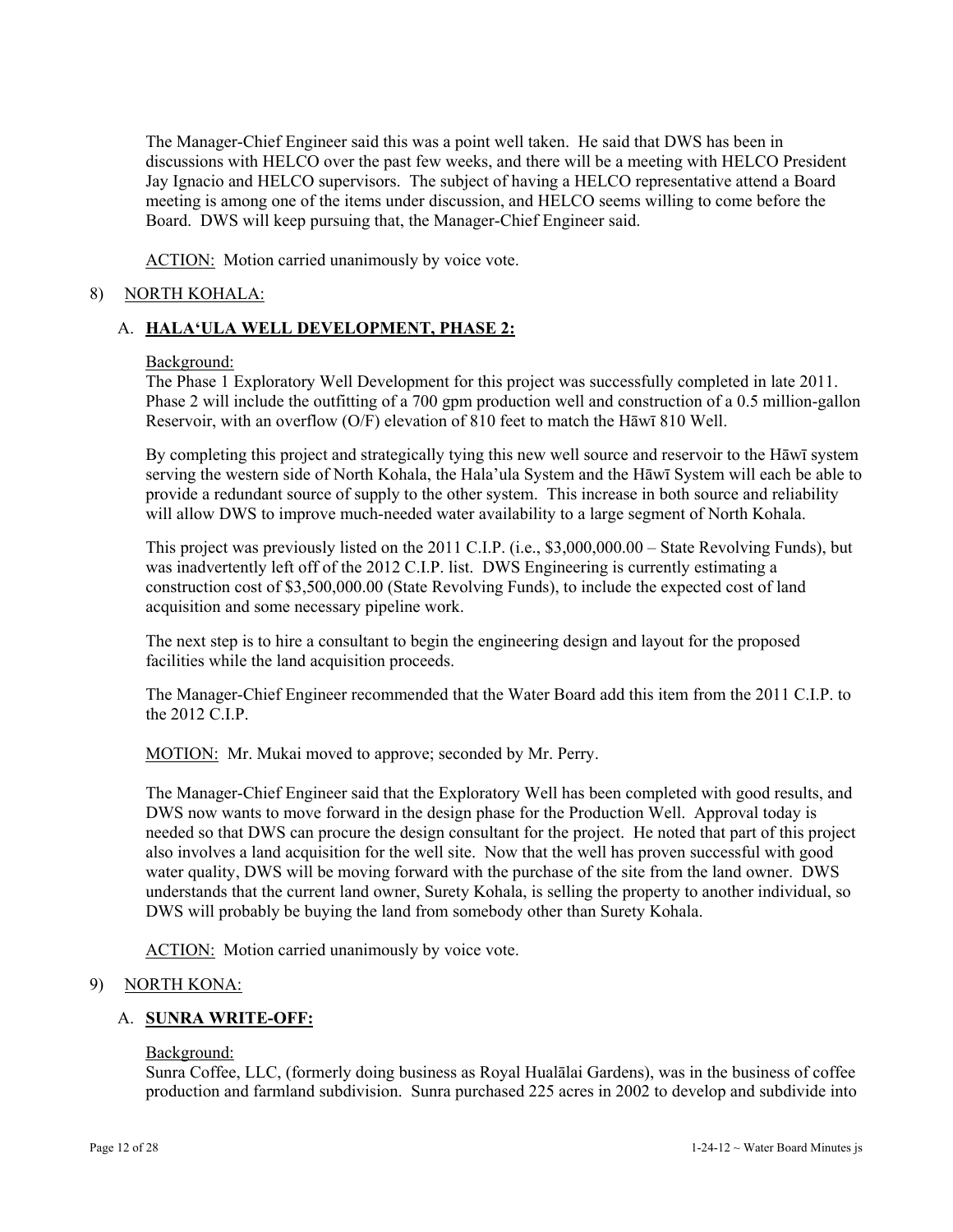The Manager-Chief Engineer said this was a point well taken. He said that DWS has been in discussions with HELCO over the past few weeks, and there will be a meeting with HELCO President Jay Ignacio and HELCO supervisors. The subject of having a HELCO representative attend a Board meeting is among one of the items under discussion, and HELCO seems willing to come before the Board. DWS will keep pursuing that, the Manager-Chief Engineer said.

ACTION: Motion carried unanimously by voice vote.

## 8) NORTH KOHALA:

## A. **HALA'ULA WELL DEVELOPMENT, PHASE 2:**

#### Background:

The Phase 1 Exploratory Well Development for this project was successfully completed in late 2011. Phase 2 will include the outfitting of a 700 gpm production well and construction of a 0.5 million-gallon Reservoir, with an overflow (O/F) elevation of 810 feet to match the Hāwī 810 Well.

By completing this project and strategically tying this new well source and reservoir to the Hāwī system serving the western side of North Kohala, the Hala'ula System and the Hāwī System will each be able to provide a redundant source of supply to the other system. This increase in both source and reliability will allow DWS to improve much-needed water availability to a large segment of North Kohala.

This project was previously listed on the 2011 C.I.P. (i.e., \$3,000,000.00 – State Revolving Funds), but was inadvertently left off of the 2012 C.I.P. list. DWS Engineering is currently estimating a construction cost of \$3,500,000.00 (State Revolving Funds), to include the expected cost of land acquisition and some necessary pipeline work.

The next step is to hire a consultant to begin the engineering design and layout for the proposed facilities while the land acquisition proceeds.

The Manager-Chief Engineer recommended that the Water Board add this item from the 2011 C.I.P. to the 2012 C.I.P.

MOTION: Mr. Mukai moved to approve; seconded by Mr. Perry.

The Manager-Chief Engineer said that the Exploratory Well has been completed with good results, and DWS now wants to move forward in the design phase for the Production Well. Approval today is needed so that DWS can procure the design consultant for the project. He noted that part of this project also involves a land acquisition for the well site. Now that the well has proven successful with good water quality, DWS will be moving forward with the purchase of the site from the land owner. DWS understands that the current land owner, Surety Kohala, is selling the property to another individual, so DWS will probably be buying the land from somebody other than Surety Kohala.

ACTION: Motion carried unanimously by voice vote.

## 9) NORTH KONA:

# A. **SUNRA WRITE-OFF:**

#### Background:

Sunra Coffee, LLC, (formerly doing business as Royal Hualālai Gardens), was in the business of coffee production and farmland subdivision. Sunra purchased 225 acres in 2002 to develop and subdivide into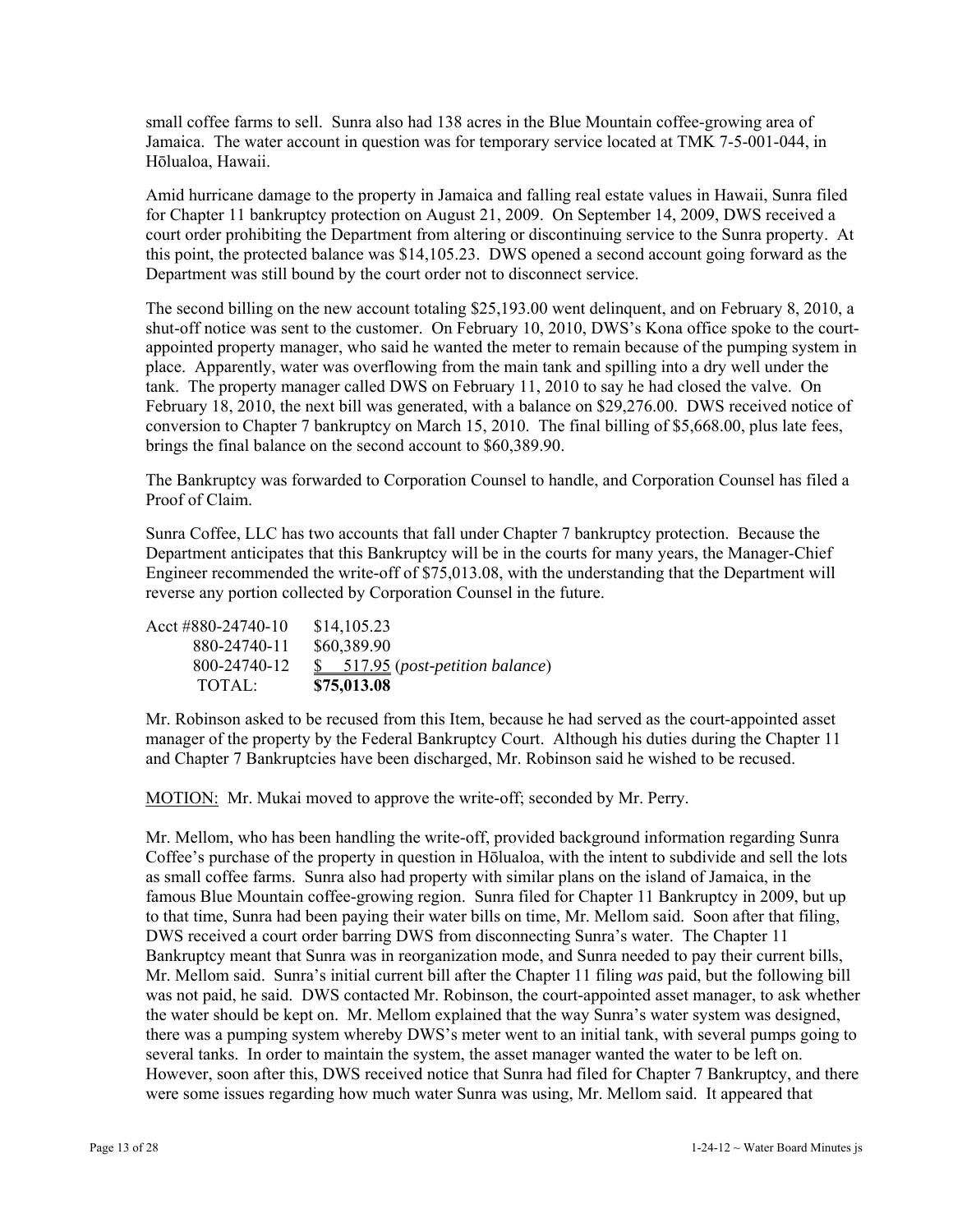small coffee farms to sell. Sunra also had 138 acres in the Blue Mountain coffee-growing area of Jamaica. The water account in question was for temporary service located at TMK 7-5-001-044, in Hōlualoa, Hawaii.

Amid hurricane damage to the property in Jamaica and falling real estate values in Hawaii, Sunra filed for Chapter 11 bankruptcy protection on August 21, 2009. On September 14, 2009, DWS received a court order prohibiting the Department from altering or discontinuing service to the Sunra property. At this point, the protected balance was \$14,105.23. DWS opened a second account going forward as the Department was still bound by the court order not to disconnect service.

The second billing on the new account totaling \$25,193.00 went delinquent, and on February 8, 2010, a shut-off notice was sent to the customer. On February 10, 2010, DWS's Kona office spoke to the courtappointed property manager, who said he wanted the meter to remain because of the pumping system in place. Apparently, water was overflowing from the main tank and spilling into a dry well under the tank. The property manager called DWS on February 11, 2010 to say he had closed the valve. On February 18, 2010, the next bill was generated, with a balance on \$29,276.00. DWS received notice of conversion to Chapter 7 bankruptcy on March 15, 2010. The final billing of \$5,668.00, plus late fees, brings the final balance on the second account to \$60,389.90.

The Bankruptcy was forwarded to Corporation Counsel to handle, and Corporation Counsel has filed a Proof of Claim.

Sunra Coffee, LLC has two accounts that fall under Chapter 7 bankruptcy protection. Because the Department anticipates that this Bankruptcy will be in the courts for many years, the Manager-Chief Engineer recommended the write-off of \$75,013.08, with the understanding that the Department will reverse any portion collected by Corporation Counsel in the future.

Acct #880-24740-10 \$14,105.23 880-24740-11 \$60,389.90 800-24740-12 \$ 517.95 (*post-petition balance*) TOTAL: **\$75,013.08**

Mr. Robinson asked to be recused from this Item, because he had served as the court-appointed asset manager of the property by the Federal Bankruptcy Court. Although his duties during the Chapter 11 and Chapter 7 Bankruptcies have been discharged, Mr. Robinson said he wished to be recused.

MOTION: Mr. Mukai moved to approve the write-off; seconded by Mr. Perry.

Mr. Mellom, who has been handling the write-off, provided background information regarding Sunra Coffee's purchase of the property in question in Hōlualoa, with the intent to subdivide and sell the lots as small coffee farms. Sunra also had property with similar plans on the island of Jamaica, in the famous Blue Mountain coffee-growing region. Sunra filed for Chapter 11 Bankruptcy in 2009, but up to that time, Sunra had been paying their water bills on time, Mr. Mellom said. Soon after that filing, DWS received a court order barring DWS from disconnecting Sunra's water. The Chapter 11 Bankruptcy meant that Sunra was in reorganization mode, and Sunra needed to pay their current bills, Mr. Mellom said. Sunra's initial current bill after the Chapter 11 filing *was* paid, but the following bill was not paid, he said. DWS contacted Mr. Robinson, the court-appointed asset manager, to ask whether the water should be kept on. Mr. Mellom explained that the way Sunra's water system was designed, there was a pumping system whereby DWS's meter went to an initial tank, with several pumps going to several tanks. In order to maintain the system, the asset manager wanted the water to be left on. However, soon after this, DWS received notice that Sunra had filed for Chapter 7 Bankruptcy, and there were some issues regarding how much water Sunra was using, Mr. Mellom said. It appeared that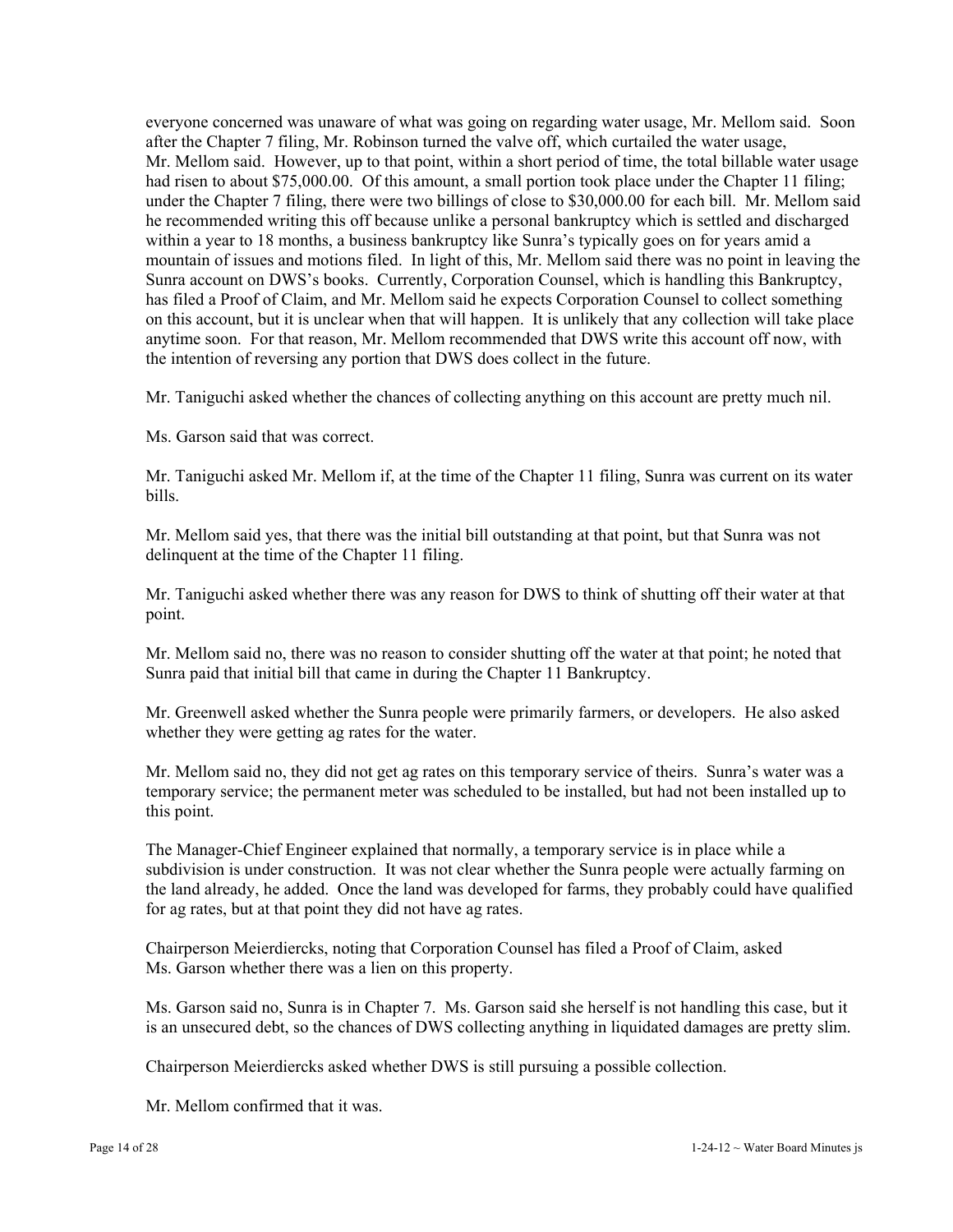everyone concerned was unaware of what was going on regarding water usage, Mr. Mellom said. Soon after the Chapter 7 filing, Mr. Robinson turned the valve off, which curtailed the water usage, Mr. Mellom said. However, up to that point, within a short period of time, the total billable water usage had risen to about \$75,000.00. Of this amount, a small portion took place under the Chapter 11 filing; under the Chapter 7 filing, there were two billings of close to \$30,000.00 for each bill. Mr. Mellom said he recommended writing this off because unlike a personal bankruptcy which is settled and discharged within a year to 18 months, a business bankruptcy like Sunra's typically goes on for years amid a mountain of issues and motions filed. In light of this, Mr. Mellom said there was no point in leaving the Sunra account on DWS's books. Currently, Corporation Counsel, which is handling this Bankruptcy, has filed a Proof of Claim, and Mr. Mellom said he expects Corporation Counsel to collect something on this account, but it is unclear when that will happen. It is unlikely that any collection will take place anytime soon. For that reason, Mr. Mellom recommended that DWS write this account off now, with the intention of reversing any portion that DWS does collect in the future.

Mr. Taniguchi asked whether the chances of collecting anything on this account are pretty much nil.

Ms. Garson said that was correct.

Mr. Taniguchi asked Mr. Mellom if, at the time of the Chapter 11 filing, Sunra was current on its water bills.

Mr. Mellom said yes, that there was the initial bill outstanding at that point, but that Sunra was not delinquent at the time of the Chapter 11 filing.

Mr. Taniguchi asked whether there was any reason for DWS to think of shutting off their water at that point.

Mr. Mellom said no, there was no reason to consider shutting off the water at that point; he noted that Sunra paid that initial bill that came in during the Chapter 11 Bankruptcy.

Mr. Greenwell asked whether the Sunra people were primarily farmers, or developers. He also asked whether they were getting ag rates for the water.

Mr. Mellom said no, they did not get ag rates on this temporary service of theirs. Sunra's water was a temporary service; the permanent meter was scheduled to be installed, but had not been installed up to this point.

The Manager-Chief Engineer explained that normally, a temporary service is in place while a subdivision is under construction. It was not clear whether the Sunra people were actually farming on the land already, he added. Once the land was developed for farms, they probably could have qualified for ag rates, but at that point they did not have ag rates.

Chairperson Meierdiercks, noting that Corporation Counsel has filed a Proof of Claim, asked Ms. Garson whether there was a lien on this property.

Ms. Garson said no, Sunra is in Chapter 7. Ms. Garson said she herself is not handling this case, but it is an unsecured debt, so the chances of DWS collecting anything in liquidated damages are pretty slim.

Chairperson Meierdiercks asked whether DWS is still pursuing a possible collection.

Mr. Mellom confirmed that it was.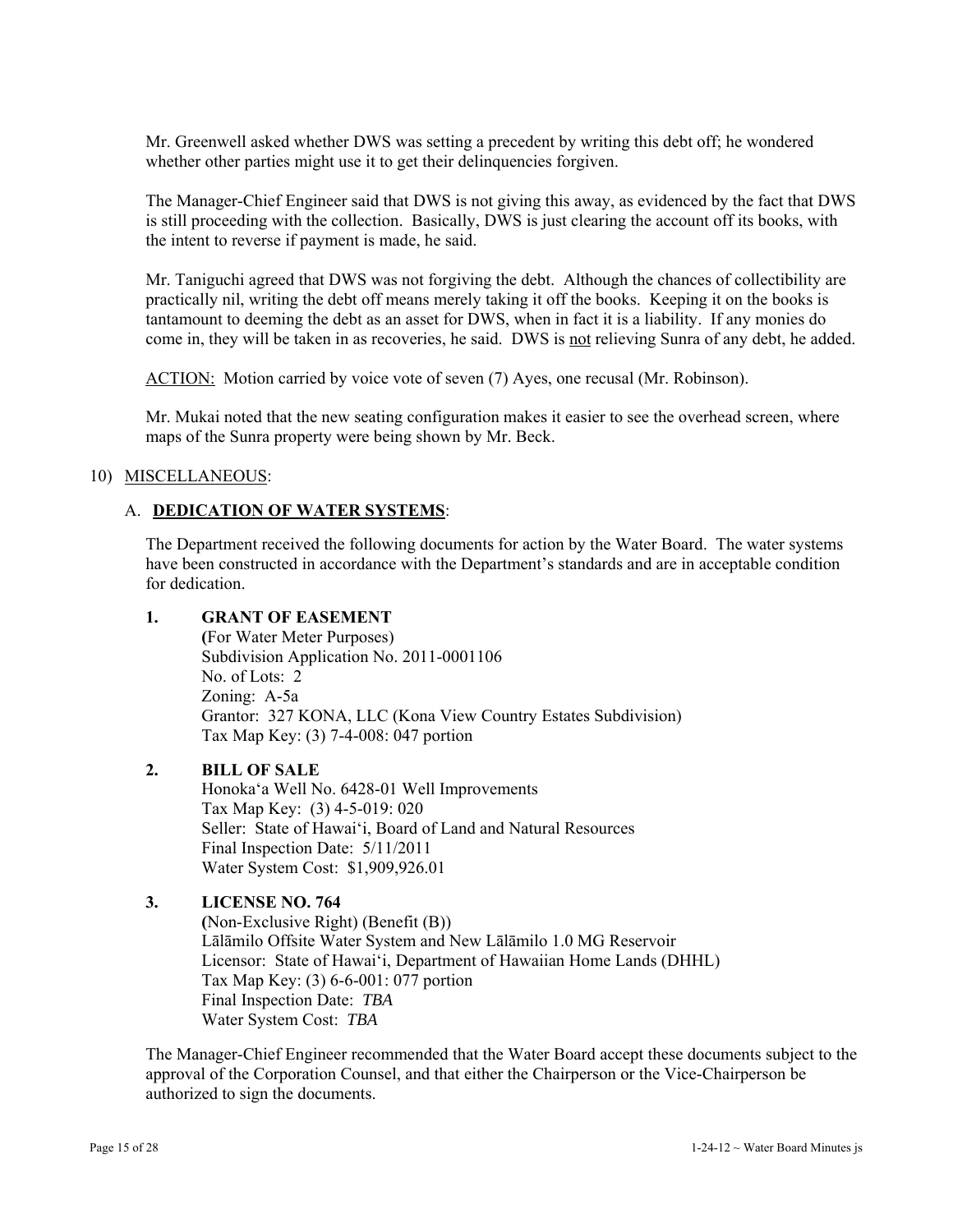Mr. Greenwell asked whether DWS was setting a precedent by writing this debt off; he wondered whether other parties might use it to get their delinquencies forgiven.

The Manager-Chief Engineer said that DWS is not giving this away, as evidenced by the fact that DWS is still proceeding with the collection. Basically, DWS is just clearing the account off its books, with the intent to reverse if payment is made, he said.

Mr. Taniguchi agreed that DWS was not forgiving the debt. Although the chances of collectibility are practically nil, writing the debt off means merely taking it off the books. Keeping it on the books is tantamount to deeming the debt as an asset for DWS, when in fact it is a liability. If any monies do come in, they will be taken in as recoveries, he said. DWS is not relieving Sunra of any debt, he added.

ACTION: Motion carried by voice vote of seven (7) Ayes, one recusal (Mr. Robinson).

Mr. Mukai noted that the new seating configuration makes it easier to see the overhead screen, where maps of the Sunra property were being shown by Mr. Beck.

## 10) MISCELLANEOUS:

## A. **DEDICATION OF WATER SYSTEMS**:

The Department received the following documents for action by the Water Board. The water systems have been constructed in accordance with the Department's standards and are in acceptable condition for dedication.

## **1. GRANT OF EASEMENT**

 **(**For Water Meter Purposes) Subdivision Application No. 2011-0001106 No. of Lots: 2 Zoning: A-5a Grantor: 327 KONA, LLC (Kona View Country Estates Subdivision) Tax Map Key: (3) 7-4-008: 047 portion

## **2. BILL OF SALE**

 Honoka'a Well No. 6428-01 Well Improvements Tax Map Key: (3) 4-5-019: 020 Seller: State of Hawai'i, Board of Land and Natural Resources Final Inspection Date: 5/11/2011 Water System Cost: \$1,909,926.01

## **3. LICENSE NO. 764**

 **(**Non-Exclusive Right) (Benefit (B)) Lālāmilo Offsite Water System and New Lālāmilo 1.0 MG Reservoir Licensor: State of Hawai'i, Department of Hawaiian Home Lands (DHHL) Tax Map Key: (3) 6-6-001: 077 portion Final Inspection Date: *TBA*  Water System Cost: *TBA* 

The Manager-Chief Engineer recommended that the Water Board accept these documents subject to the approval of the Corporation Counsel, and that either the Chairperson or the Vice-Chairperson be authorized to sign the documents.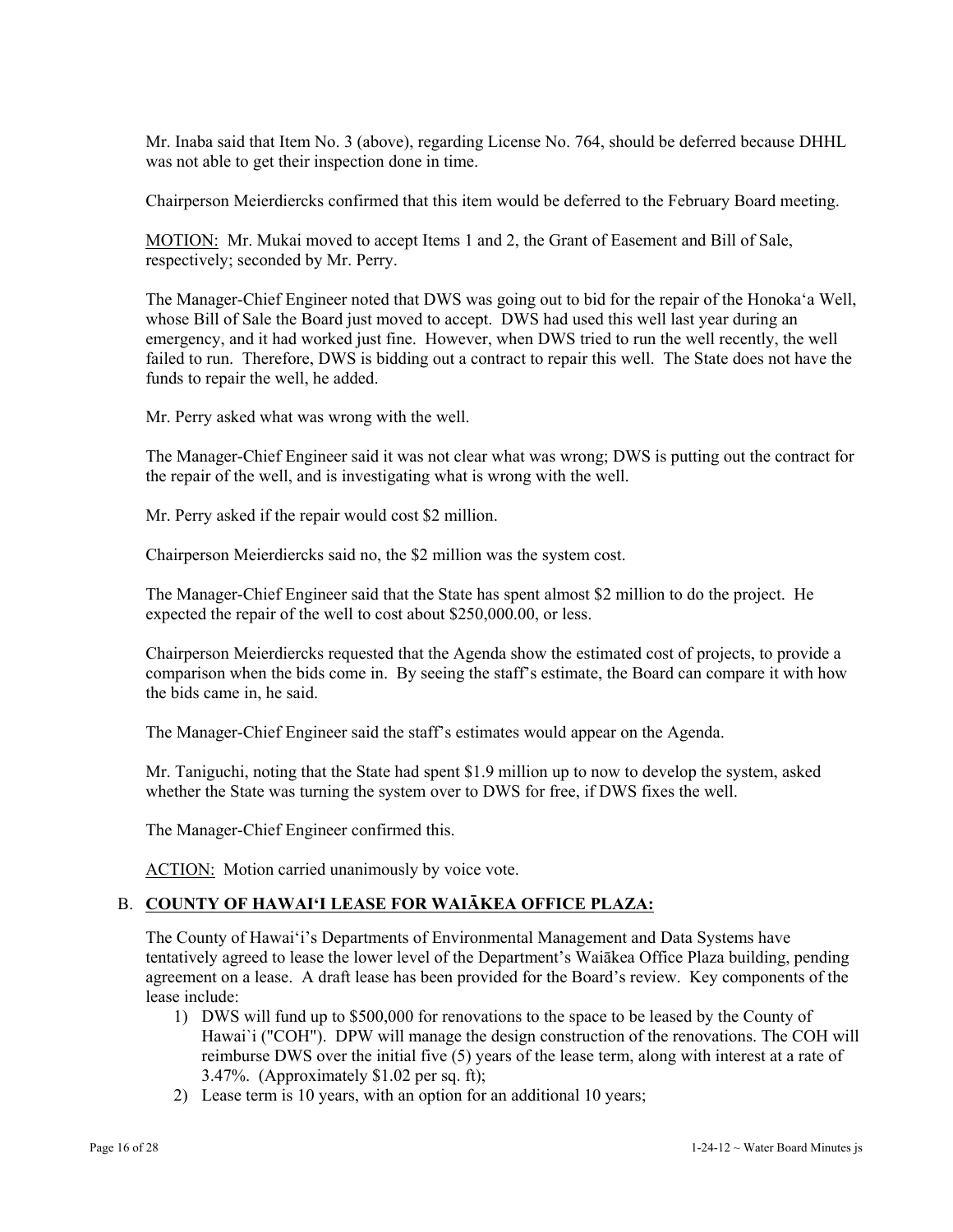Mr. Inaba said that Item No. 3 (above), regarding License No. 764, should be deferred because DHHL was not able to get their inspection done in time.

Chairperson Meierdiercks confirmed that this item would be deferred to the February Board meeting.

MOTION: Mr. Mukai moved to accept Items 1 and 2, the Grant of Easement and Bill of Sale, respectively; seconded by Mr. Perry.

The Manager-Chief Engineer noted that DWS was going out to bid for the repair of the Honoka'a Well, whose Bill of Sale the Board just moved to accept. DWS had used this well last year during an emergency, and it had worked just fine. However, when DWS tried to run the well recently, the well failed to run. Therefore, DWS is bidding out a contract to repair this well. The State does not have the funds to repair the well, he added.

Mr. Perry asked what was wrong with the well.

The Manager-Chief Engineer said it was not clear what was wrong; DWS is putting out the contract for the repair of the well, and is investigating what is wrong with the well.

Mr. Perry asked if the repair would cost \$2 million.

Chairperson Meierdiercks said no, the \$2 million was the system cost.

The Manager-Chief Engineer said that the State has spent almost \$2 million to do the project. He expected the repair of the well to cost about \$250,000.00, or less.

Chairperson Meierdiercks requested that the Agenda show the estimated cost of projects, to provide a comparison when the bids come in. By seeing the staff's estimate, the Board can compare it with how the bids came in, he said.

The Manager-Chief Engineer said the staff's estimates would appear on the Agenda.

Mr. Taniguchi, noting that the State had spent \$1.9 million up to now to develop the system, asked whether the State was turning the system over to DWS for free, if DWS fixes the well.

The Manager-Chief Engineer confirmed this.

ACTION: Motion carried unanimously by voice vote.

## B. **COUNTY OF HAWAI'I LEASE FOR WAIĀKEA OFFICE PLAZA:**

The County of Hawai'i's Departments of Environmental Management and Data Systems have tentatively agreed to lease the lower level of the Department's Waiākea Office Plaza building, pending agreement on a lease. A draft lease has been provided for the Board's review. Key components of the lease include:

- 1) DWS will fund up to \$500,000 for renovations to the space to be leased by the County of Hawai`i ("COH"). DPW will manage the design construction of the renovations. The COH will reimburse DWS over the initial five (5) years of the lease term, along with interest at a rate of 3.47%. (Approximately \$1.02 per sq. ft);
- 2) Lease term is 10 years, with an option for an additional 10 years;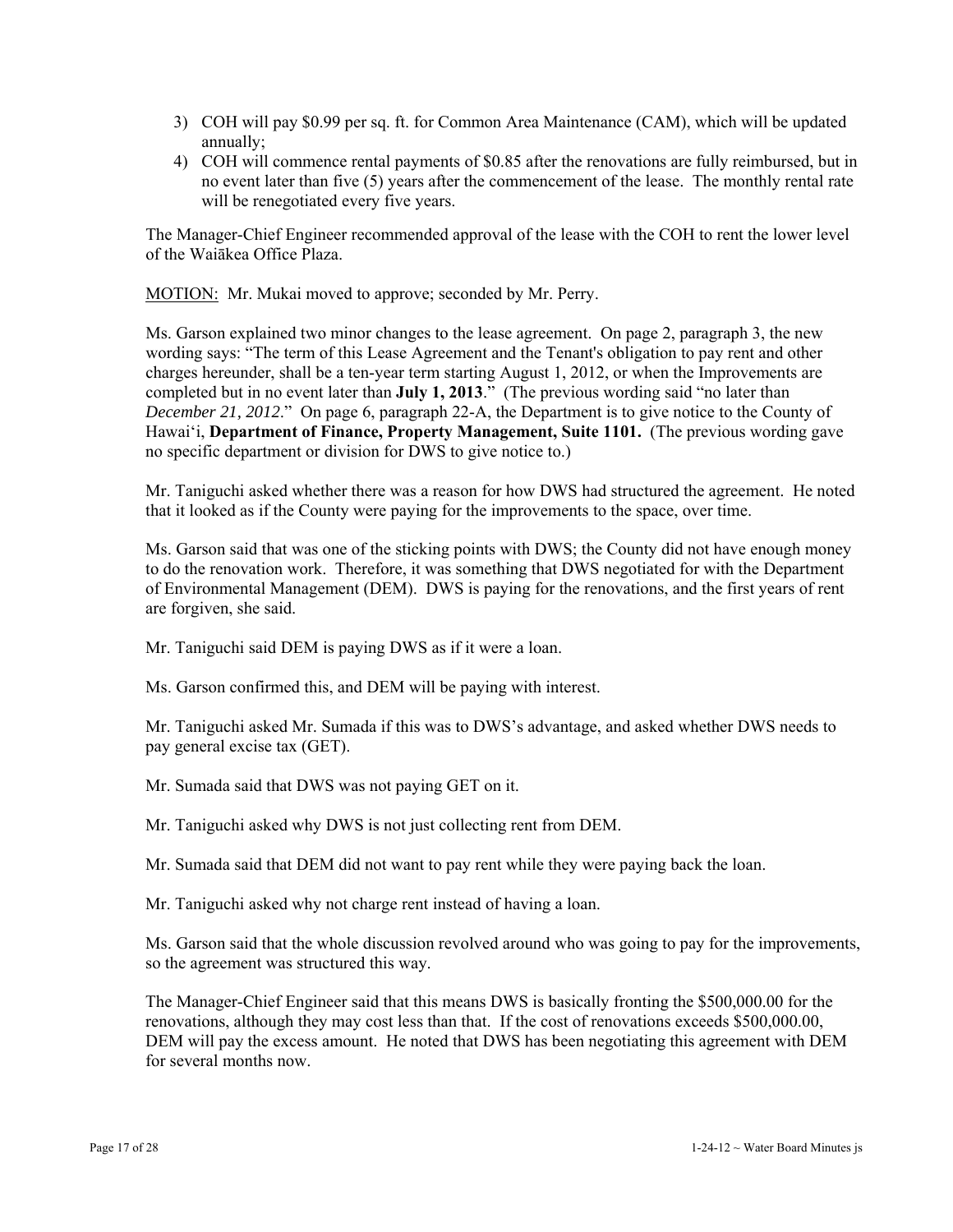- 3) COH will pay \$0.99 per sq. ft. for Common Area Maintenance (CAM), which will be updated annually;
- 4) COH will commence rental payments of \$0.85 after the renovations are fully reimbursed, but in no event later than five (5) years after the commencement of the lease. The monthly rental rate will be renegotiated every five years.

The Manager-Chief Engineer recommended approval of the lease with the COH to rent the lower level of the Waiākea Office Plaza.

MOTION: Mr. Mukai moved to approve; seconded by Mr. Perry.

Ms. Garson explained two minor changes to the lease agreement. On page 2, paragraph 3, the new wording says: "The term of this Lease Agreement and the Tenant's obligation to pay rent and other charges hereunder, shall be a ten-year term starting August 1, 2012, or when the Improvements are completed but in no event later than **July 1, 2013**." (The previous wording said "no later than *December 21, 2012*." On page 6, paragraph 22-A, the Department is to give notice to the County of Hawai'i, **Department of Finance, Property Management, Suite 1101.** (The previous wording gave no specific department or division for DWS to give notice to.)

Mr. Taniguchi asked whether there was a reason for how DWS had structured the agreement. He noted that it looked as if the County were paying for the improvements to the space, over time.

Ms. Garson said that was one of the sticking points with DWS; the County did not have enough money to do the renovation work. Therefore, it was something that DWS negotiated for with the Department of Environmental Management (DEM). DWS is paying for the renovations, and the first years of rent are forgiven, she said.

Mr. Taniguchi said DEM is paying DWS as if it were a loan.

Ms. Garson confirmed this, and DEM will be paying with interest.

Mr. Taniguchi asked Mr. Sumada if this was to DWS's advantage, and asked whether DWS needs to pay general excise tax (GET).

Mr. Sumada said that DWS was not paying GET on it.

Mr. Taniguchi asked why DWS is not just collecting rent from DEM.

Mr. Sumada said that DEM did not want to pay rent while they were paying back the loan.

Mr. Taniguchi asked why not charge rent instead of having a loan.

Ms. Garson said that the whole discussion revolved around who was going to pay for the improvements, so the agreement was structured this way.

The Manager-Chief Engineer said that this means DWS is basically fronting the \$500,000.00 for the renovations, although they may cost less than that. If the cost of renovations exceeds \$500,000.00, DEM will pay the excess amount. He noted that DWS has been negotiating this agreement with DEM for several months now.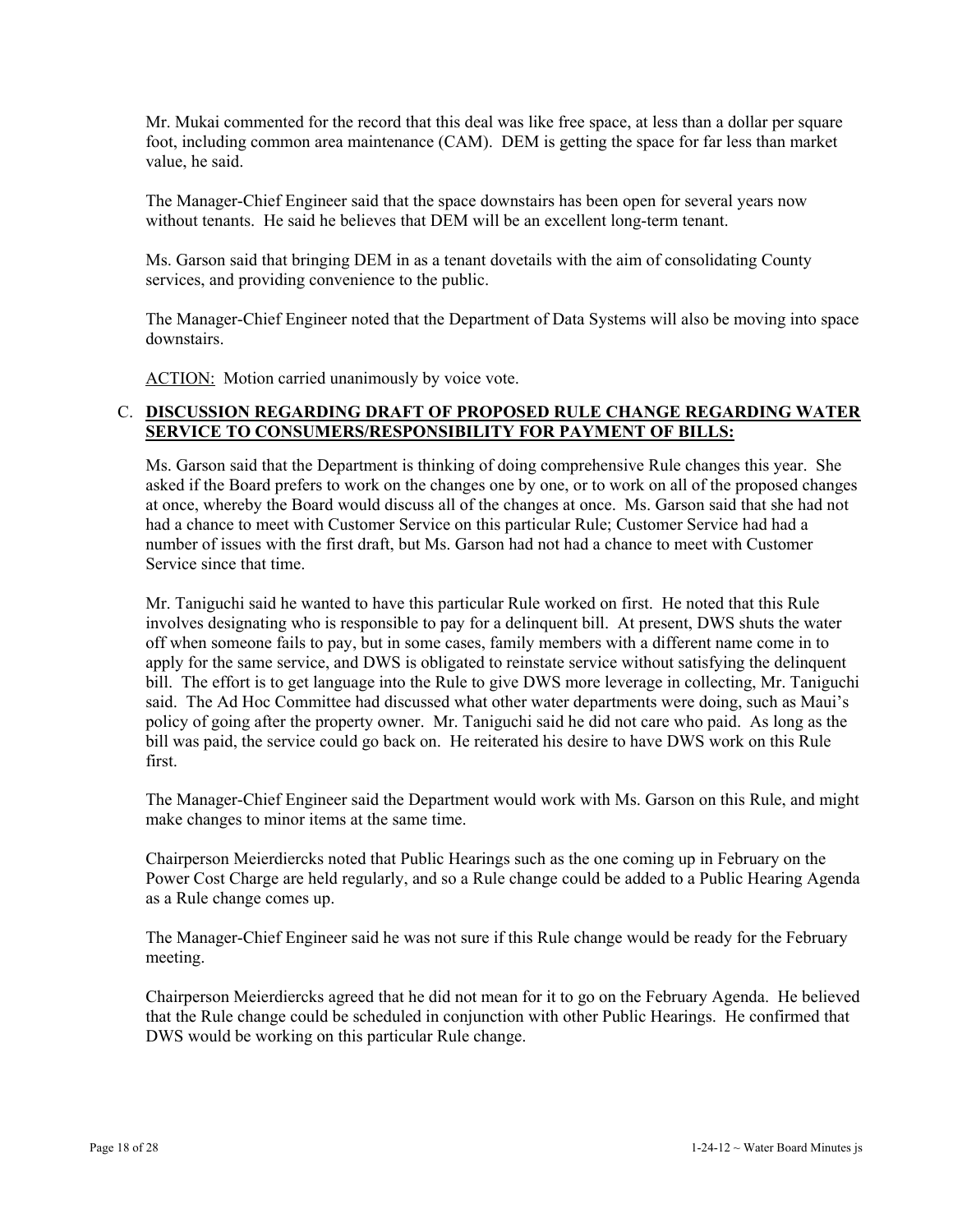Mr. Mukai commented for the record that this deal was like free space, at less than a dollar per square foot, including common area maintenance (CAM). DEM is getting the space for far less than market value, he said.

The Manager-Chief Engineer said that the space downstairs has been open for several years now without tenants. He said he believes that DEM will be an excellent long-term tenant.

Ms. Garson said that bringing DEM in as a tenant dovetails with the aim of consolidating County services, and providing convenience to the public.

The Manager-Chief Engineer noted that the Department of Data Systems will also be moving into space downstairs.

ACTION: Motion carried unanimously by voice vote.

## C. **DISCUSSION REGARDING DRAFT OF PROPOSED RULE CHANGE REGARDING WATER SERVICE TO CONSUMERS/RESPONSIBILITY FOR PAYMENT OF BILLS:**

Ms. Garson said that the Department is thinking of doing comprehensive Rule changes this year. She asked if the Board prefers to work on the changes one by one, or to work on all of the proposed changes at once, whereby the Board would discuss all of the changes at once. Ms. Garson said that she had not had a chance to meet with Customer Service on this particular Rule; Customer Service had had a number of issues with the first draft, but Ms. Garson had not had a chance to meet with Customer Service since that time.

Mr. Taniguchi said he wanted to have this particular Rule worked on first. He noted that this Rule involves designating who is responsible to pay for a delinquent bill. At present, DWS shuts the water off when someone fails to pay, but in some cases, family members with a different name come in to apply for the same service, and DWS is obligated to reinstate service without satisfying the delinquent bill. The effort is to get language into the Rule to give DWS more leverage in collecting, Mr. Taniguchi said. The Ad Hoc Committee had discussed what other water departments were doing, such as Maui's policy of going after the property owner. Mr. Taniguchi said he did not care who paid. As long as the bill was paid, the service could go back on. He reiterated his desire to have DWS work on this Rule first.

The Manager-Chief Engineer said the Department would work with Ms. Garson on this Rule, and might make changes to minor items at the same time.

Chairperson Meierdiercks noted that Public Hearings such as the one coming up in February on the Power Cost Charge are held regularly, and so a Rule change could be added to a Public Hearing Agenda as a Rule change comes up.

The Manager-Chief Engineer said he was not sure if this Rule change would be ready for the February meeting.

Chairperson Meierdiercks agreed that he did not mean for it to go on the February Agenda. He believed that the Rule change could be scheduled in conjunction with other Public Hearings. He confirmed that DWS would be working on this particular Rule change.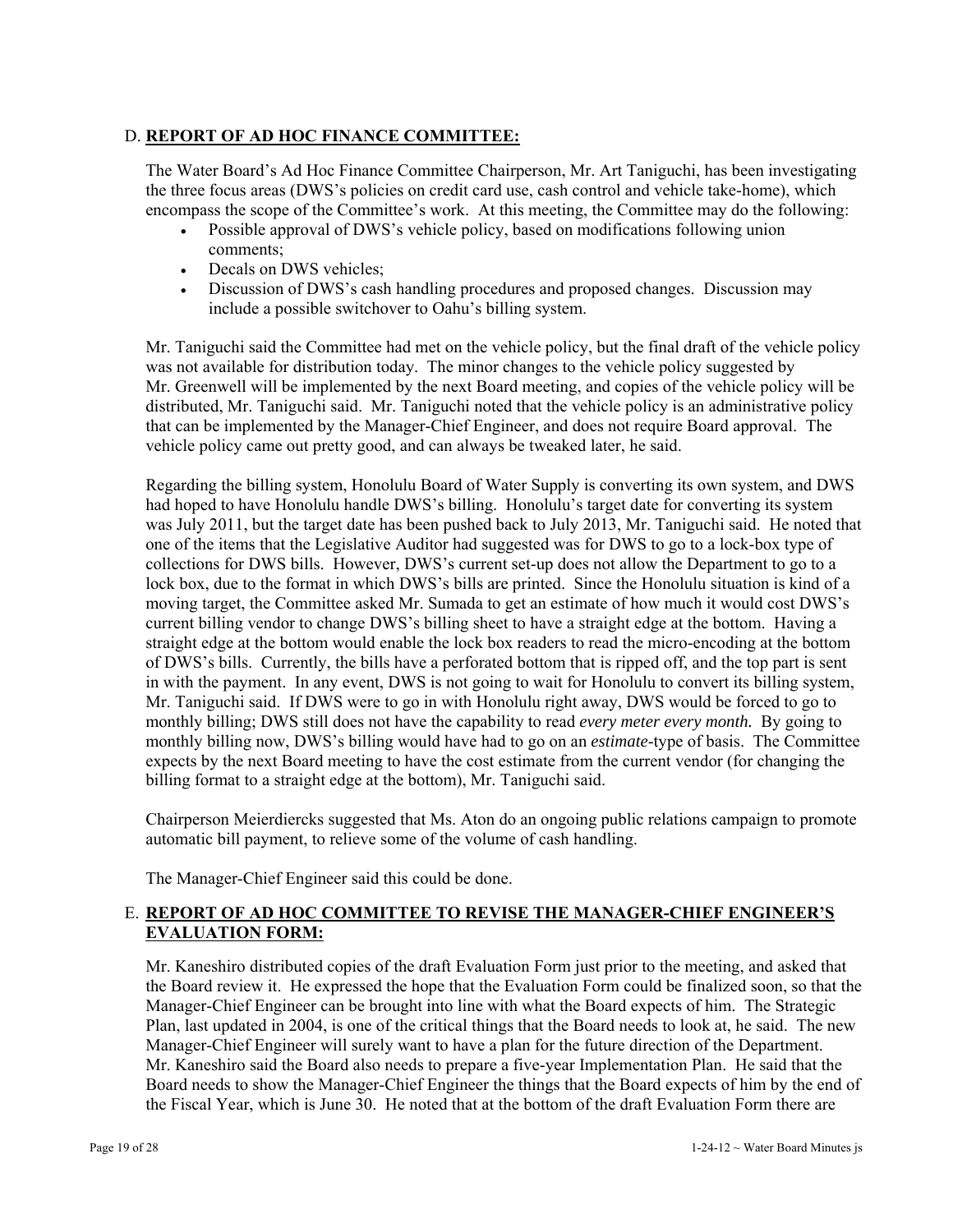## D. **REPORT OF AD HOC FINANCE COMMITTEE:**

The Water Board's Ad Hoc Finance Committee Chairperson, Mr. Art Taniguchi, has been investigating the three focus areas (DWS's policies on credit card use, cash control and vehicle take-home), which encompass the scope of the Committee's work. At this meeting, the Committee may do the following:

- Possible approval of DWS's vehicle policy, based on modifications following union comments;
- Decals on DWS vehicles;
- Discussion of DWS's cash handling procedures and proposed changes. Discussion may include a possible switchover to Oahu's billing system.

Mr. Taniguchi said the Committee had met on the vehicle policy, but the final draft of the vehicle policy was not available for distribution today. The minor changes to the vehicle policy suggested by Mr. Greenwell will be implemented by the next Board meeting, and copies of the vehicle policy will be distributed, Mr. Taniguchi said. Mr. Taniguchi noted that the vehicle policy is an administrative policy that can be implemented by the Manager-Chief Engineer, and does not require Board approval. The vehicle policy came out pretty good, and can always be tweaked later, he said.

Regarding the billing system, Honolulu Board of Water Supply is converting its own system, and DWS had hoped to have Honolulu handle DWS's billing. Honolulu's target date for converting its system was July 2011, but the target date has been pushed back to July 2013, Mr. Taniguchi said. He noted that one of the items that the Legislative Auditor had suggested was for DWS to go to a lock-box type of collections for DWS bills. However, DWS's current set-up does not allow the Department to go to a lock box, due to the format in which DWS's bills are printed. Since the Honolulu situation is kind of a moving target, the Committee asked Mr. Sumada to get an estimate of how much it would cost DWS's current billing vendor to change DWS's billing sheet to have a straight edge at the bottom. Having a straight edge at the bottom would enable the lock box readers to read the micro-encoding at the bottom of DWS's bills. Currently, the bills have a perforated bottom that is ripped off, and the top part is sent in with the payment. In any event, DWS is not going to wait for Honolulu to convert its billing system, Mr. Taniguchi said. If DWS were to go in with Honolulu right away, DWS would be forced to go to monthly billing; DWS still does not have the capability to read *every meter every month.* By going to monthly billing now, DWS's billing would have had to go on an *estimate*-type of basis. The Committee expects by the next Board meeting to have the cost estimate from the current vendor (for changing the billing format to a straight edge at the bottom), Mr. Taniguchi said.

Chairperson Meierdiercks suggested that Ms. Aton do an ongoing public relations campaign to promote automatic bill payment, to relieve some of the volume of cash handling.

The Manager-Chief Engineer said this could be done.

# E. **REPORT OF AD HOC COMMITTEE TO REVISE THE MANAGER-CHIEF ENGINEER'S EVALUATION FORM:**

Mr. Kaneshiro distributed copies of the draft Evaluation Form just prior to the meeting, and asked that the Board review it. He expressed the hope that the Evaluation Form could be finalized soon, so that the Manager-Chief Engineer can be brought into line with what the Board expects of him. The Strategic Plan, last updated in 2004, is one of the critical things that the Board needs to look at, he said. The new Manager-Chief Engineer will surely want to have a plan for the future direction of the Department. Mr. Kaneshiro said the Board also needs to prepare a five-year Implementation Plan. He said that the Board needs to show the Manager-Chief Engineer the things that the Board expects of him by the end of the Fiscal Year, which is June 30. He noted that at the bottom of the draft Evaluation Form there are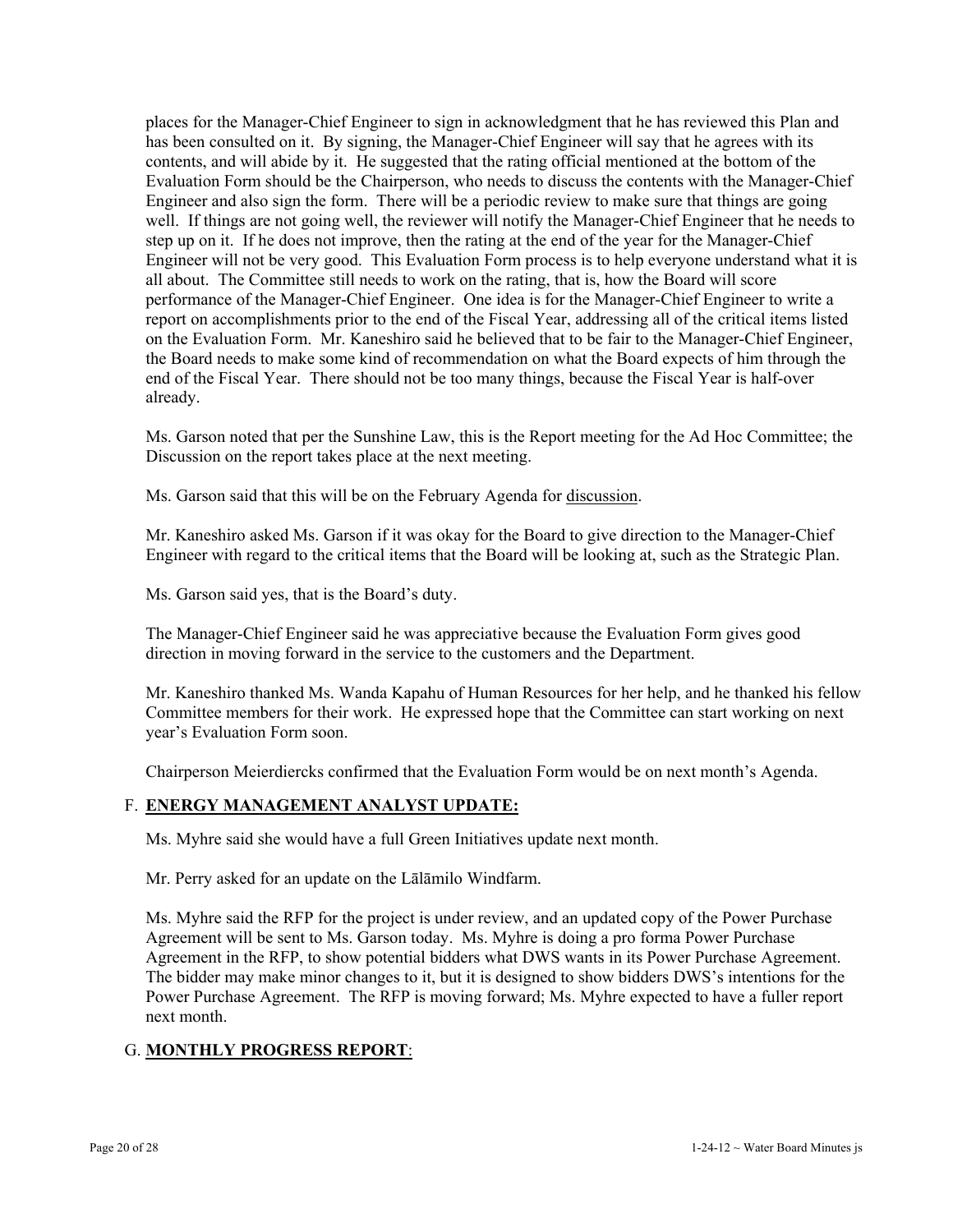places for the Manager-Chief Engineer to sign in acknowledgment that he has reviewed this Plan and has been consulted on it. By signing, the Manager-Chief Engineer will say that he agrees with its contents, and will abide by it. He suggested that the rating official mentioned at the bottom of the Evaluation Form should be the Chairperson, who needs to discuss the contents with the Manager-Chief Engineer and also sign the form. There will be a periodic review to make sure that things are going well. If things are not going well, the reviewer will notify the Manager-Chief Engineer that he needs to step up on it. If he does not improve, then the rating at the end of the year for the Manager-Chief Engineer will not be very good. This Evaluation Form process is to help everyone understand what it is all about. The Committee still needs to work on the rating, that is, how the Board will score performance of the Manager-Chief Engineer. One idea is for the Manager-Chief Engineer to write a report on accomplishments prior to the end of the Fiscal Year, addressing all of the critical items listed on the Evaluation Form. Mr. Kaneshiro said he believed that to be fair to the Manager-Chief Engineer, the Board needs to make some kind of recommendation on what the Board expects of him through the end of the Fiscal Year. There should not be too many things, because the Fiscal Year is half-over already.

Ms. Garson noted that per the Sunshine Law, this is the Report meeting for the Ad Hoc Committee; the Discussion on the report takes place at the next meeting.

Ms. Garson said that this will be on the February Agenda for discussion.

Mr. Kaneshiro asked Ms. Garson if it was okay for the Board to give direction to the Manager-Chief Engineer with regard to the critical items that the Board will be looking at, such as the Strategic Plan.

Ms. Garson said yes, that is the Board's duty.

The Manager-Chief Engineer said he was appreciative because the Evaluation Form gives good direction in moving forward in the service to the customers and the Department.

Mr. Kaneshiro thanked Ms. Wanda Kapahu of Human Resources for her help, and he thanked his fellow Committee members for their work. He expressed hope that the Committee can start working on next year's Evaluation Form soon.

Chairperson Meierdiercks confirmed that the Evaluation Form would be on next month's Agenda.

## F. **ENERGY MANAGEMENT ANALYST UPDATE:**

Ms. Myhre said she would have a full Green Initiatives update next month.

Mr. Perry asked for an update on the Lālāmilo Windfarm.

Ms. Myhre said the RFP for the project is under review, and an updated copy of the Power Purchase Agreement will be sent to Ms. Garson today. Ms. Myhre is doing a pro forma Power Purchase Agreement in the RFP, to show potential bidders what DWS wants in its Power Purchase Agreement. The bidder may make minor changes to it, but it is designed to show bidders DWS's intentions for the Power Purchase Agreement. The RFP is moving forward; Ms. Myhre expected to have a fuller report next month.

## G. **MONTHLY PROGRESS REPORT**: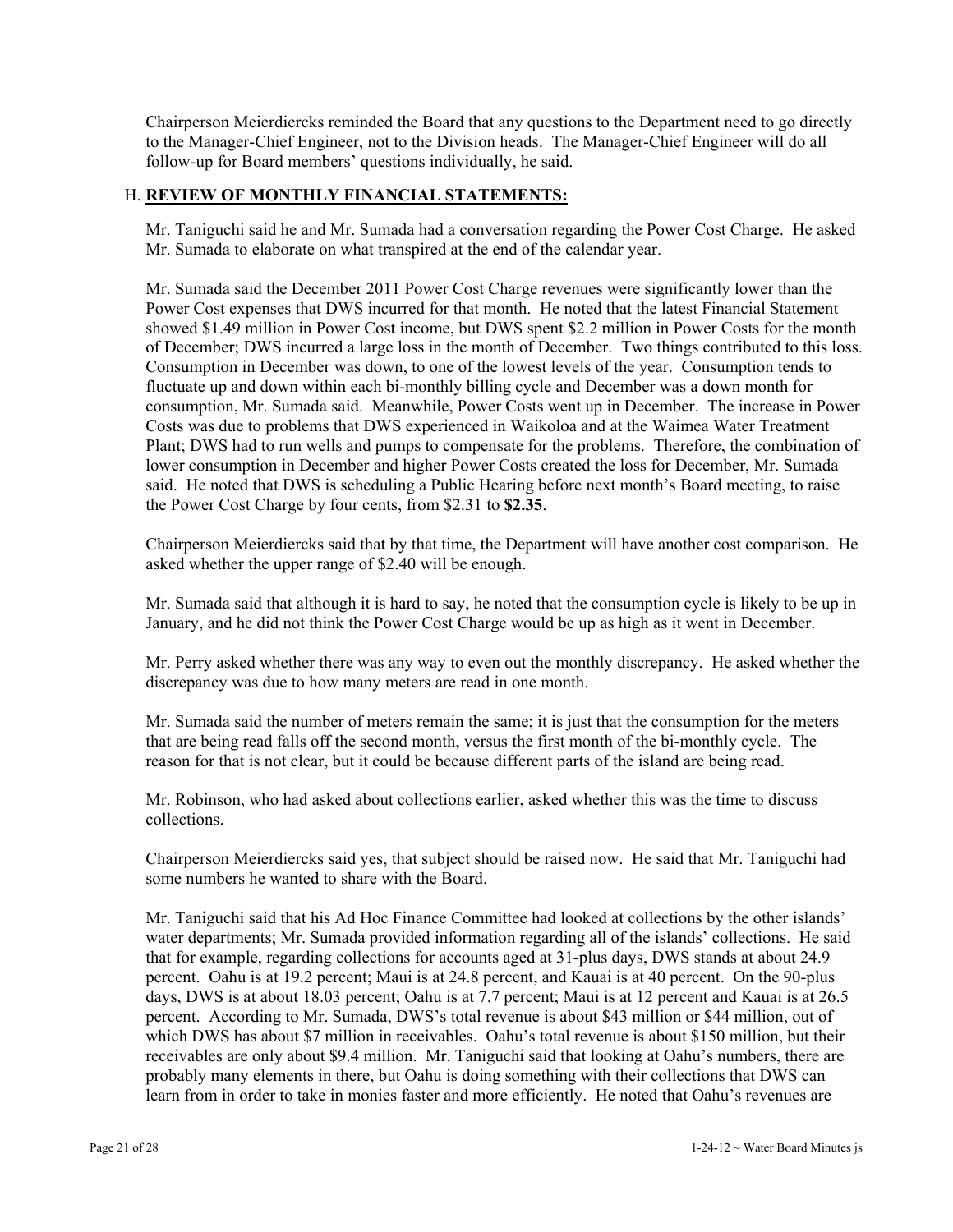Chairperson Meierdiercks reminded the Board that any questions to the Department need to go directly to the Manager-Chief Engineer, not to the Division heads. The Manager-Chief Engineer will do all follow-up for Board members' questions individually, he said.

## H. **REVIEW OF MONTHLY FINANCIAL STATEMENTS:**

Mr. Taniguchi said he and Mr. Sumada had a conversation regarding the Power Cost Charge. He asked Mr. Sumada to elaborate on what transpired at the end of the calendar year.

Mr. Sumada said the December 2011 Power Cost Charge revenues were significantly lower than the Power Cost expenses that DWS incurred for that month. He noted that the latest Financial Statement showed \$1.49 million in Power Cost income, but DWS spent \$2.2 million in Power Costs for the month of December; DWS incurred a large loss in the month of December. Two things contributed to this loss. Consumption in December was down, to one of the lowest levels of the year. Consumption tends to fluctuate up and down within each bi-monthly billing cycle and December was a down month for consumption, Mr. Sumada said. Meanwhile, Power Costs went up in December. The increase in Power Costs was due to problems that DWS experienced in Waikoloa and at the Waimea Water Treatment Plant; DWS had to run wells and pumps to compensate for the problems. Therefore, the combination of lower consumption in December and higher Power Costs created the loss for December, Mr. Sumada said. He noted that DWS is scheduling a Public Hearing before next month's Board meeting, to raise the Power Cost Charge by four cents, from \$2.31 to **\$2.35**.

Chairperson Meierdiercks said that by that time, the Department will have another cost comparison. He asked whether the upper range of \$2.40 will be enough.

Mr. Sumada said that although it is hard to say, he noted that the consumption cycle is likely to be up in January, and he did not think the Power Cost Charge would be up as high as it went in December.

Mr. Perry asked whether there was any way to even out the monthly discrepancy. He asked whether the discrepancy was due to how many meters are read in one month.

Mr. Sumada said the number of meters remain the same; it is just that the consumption for the meters that are being read falls off the second month, versus the first month of the bi-monthly cycle. The reason for that is not clear, but it could be because different parts of the island are being read.

Mr. Robinson, who had asked about collections earlier, asked whether this was the time to discuss collections.

Chairperson Meierdiercks said yes, that subject should be raised now. He said that Mr. Taniguchi had some numbers he wanted to share with the Board.

Mr. Taniguchi said that his Ad Hoc Finance Committee had looked at collections by the other islands' water departments; Mr. Sumada provided information regarding all of the islands' collections. He said that for example, regarding collections for accounts aged at 31-plus days, DWS stands at about 24.9 percent. Oahu is at 19.2 percent; Maui is at 24.8 percent, and Kauai is at 40 percent. On the 90-plus days, DWS is at about 18.03 percent; Oahu is at 7.7 percent; Maui is at 12 percent and Kauai is at 26.5 percent. According to Mr. Sumada, DWS's total revenue is about \$43 million or \$44 million, out of which DWS has about \$7 million in receivables. Oahu's total revenue is about \$150 million, but their receivables are only about \$9.4 million. Mr. Taniguchi said that looking at Oahu's numbers, there are probably many elements in there, but Oahu is doing something with their collections that DWS can learn from in order to take in monies faster and more efficiently. He noted that Oahu's revenues are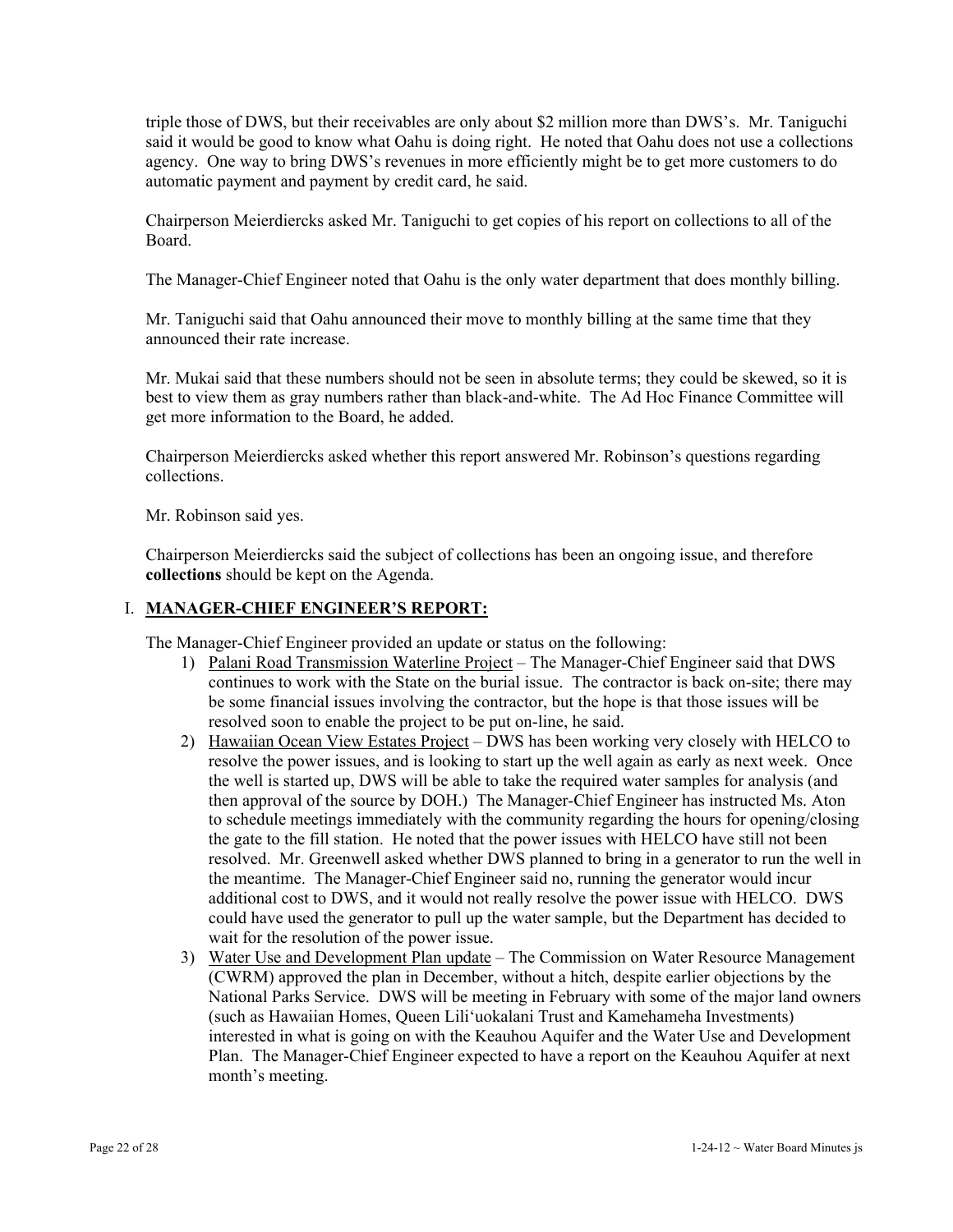triple those of DWS, but their receivables are only about \$2 million more than DWS's. Mr. Taniguchi said it would be good to know what Oahu is doing right. He noted that Oahu does not use a collections agency. One way to bring DWS's revenues in more efficiently might be to get more customers to do automatic payment and payment by credit card, he said.

Chairperson Meierdiercks asked Mr. Taniguchi to get copies of his report on collections to all of the Board.

The Manager-Chief Engineer noted that Oahu is the only water department that does monthly billing.

Mr. Taniguchi said that Oahu announced their move to monthly billing at the same time that they announced their rate increase.

Mr. Mukai said that these numbers should not be seen in absolute terms; they could be skewed, so it is best to view them as gray numbers rather than black-and-white. The Ad Hoc Finance Committee will get more information to the Board, he added.

Chairperson Meierdiercks asked whether this report answered Mr. Robinson's questions regarding collections.

Mr. Robinson said yes.

Chairperson Meierdiercks said the subject of collections has been an ongoing issue, and therefore **collections** should be kept on the Agenda.

## I. **MANAGER-CHIEF ENGINEER'S REPORT:**

The Manager-Chief Engineer provided an update or status on the following:

- 1) Palani Road Transmission Waterline Project The Manager-Chief Engineer said that DWS continues to work with the State on the burial issue. The contractor is back on-site; there may be some financial issues involving the contractor, but the hope is that those issues will be resolved soon to enable the project to be put on-line, he said.
- 2) Hawaiian Ocean View Estates Project DWS has been working very closely with HELCO to resolve the power issues, and is looking to start up the well again as early as next week. Once the well is started up, DWS will be able to take the required water samples for analysis (and then approval of the source by DOH.) The Manager-Chief Engineer has instructed Ms. Aton to schedule meetings immediately with the community regarding the hours for opening/closing the gate to the fill station. He noted that the power issues with HELCO have still not been resolved. Mr. Greenwell asked whether DWS planned to bring in a generator to run the well in the meantime. The Manager-Chief Engineer said no, running the generator would incur additional cost to DWS, and it would not really resolve the power issue with HELCO. DWS could have used the generator to pull up the water sample, but the Department has decided to wait for the resolution of the power issue.
- 3) Water Use and Development Plan update The Commission on Water Resource Management (CWRM) approved the plan in December, without a hitch, despite earlier objections by the National Parks Service. DWS will be meeting in February with some of the major land owners (such as Hawaiian Homes, Queen Lili'uokalani Trust and Kamehameha Investments) interested in what is going on with the Keauhou Aquifer and the Water Use and Development Plan. The Manager-Chief Engineer expected to have a report on the Keauhou Aquifer at next month's meeting.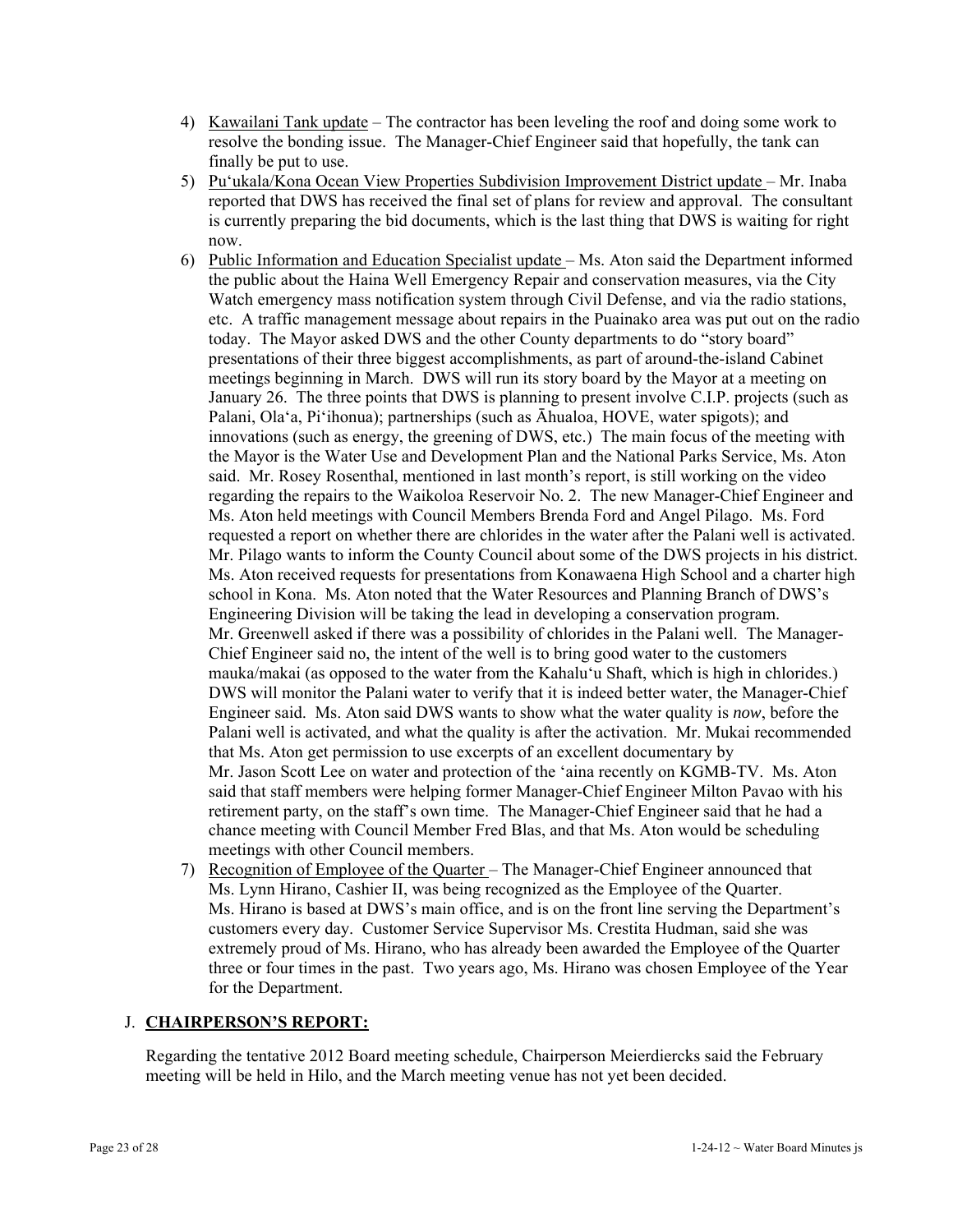- 4) Kawailani Tank update The contractor has been leveling the roof and doing some work to resolve the bonding issue. The Manager-Chief Engineer said that hopefully, the tank can finally be put to use.
- 5) Pu'ukala/Kona Ocean View Properties Subdivision Improvement District update Mr. Inaba reported that DWS has received the final set of plans for review and approval. The consultant is currently preparing the bid documents, which is the last thing that DWS is waiting for right now.
- 6) Public Information and Education Specialist update Ms. Aton said the Department informed the public about the Haina Well Emergency Repair and conservation measures, via the City Watch emergency mass notification system through Civil Defense, and via the radio stations, etc. A traffic management message about repairs in the Puainako area was put out on the radio today. The Mayor asked DWS and the other County departments to do "story board" presentations of their three biggest accomplishments, as part of around-the-island Cabinet meetings beginning in March. DWS will run its story board by the Mayor at a meeting on January 26. The three points that DWS is planning to present involve C.I.P. projects (such as Palani, Ola'a, Pi'ihonua); partnerships (such as Āhualoa, HOVE, water spigots); and innovations (such as energy, the greening of DWS, etc.) The main focus of the meeting with the Mayor is the Water Use and Development Plan and the National Parks Service, Ms. Aton said. Mr. Rosey Rosenthal, mentioned in last month's report, is still working on the video regarding the repairs to the Waikoloa Reservoir No. 2. The new Manager-Chief Engineer and Ms. Aton held meetings with Council Members Brenda Ford and Angel Pilago. Ms. Ford requested a report on whether there are chlorides in the water after the Palani well is activated. Mr. Pilago wants to inform the County Council about some of the DWS projects in his district. Ms. Aton received requests for presentations from Konawaena High School and a charter high school in Kona. Ms. Aton noted that the Water Resources and Planning Branch of DWS's Engineering Division will be taking the lead in developing a conservation program. Mr. Greenwell asked if there was a possibility of chlorides in the Palani well. The Manager-Chief Engineer said no, the intent of the well is to bring good water to the customers mauka/makai (as opposed to the water from the Kahalu'u Shaft, which is high in chlorides.) DWS will monitor the Palani water to verify that it is indeed better water, the Manager-Chief Engineer said. Ms. Aton said DWS wants to show what the water quality is *now*, before the Palani well is activated, and what the quality is after the activation. Mr. Mukai recommended that Ms. Aton get permission to use excerpts of an excellent documentary by Mr. Jason Scott Lee on water and protection of the 'aina recently on KGMB-TV. Ms. Aton said that staff members were helping former Manager-Chief Engineer Milton Pavao with his retirement party, on the staff's own time. The Manager-Chief Engineer said that he had a chance meeting with Council Member Fred Blas, and that Ms. Aton would be scheduling meetings with other Council members.
- 7) Recognition of Employee of the Quarter The Manager-Chief Engineer announced that Ms. Lynn Hirano, Cashier II, was being recognized as the Employee of the Quarter. Ms. Hirano is based at DWS's main office, and is on the front line serving the Department's customers every day. Customer Service Supervisor Ms. Crestita Hudman, said she was extremely proud of Ms. Hirano, who has already been awarded the Employee of the Quarter three or four times in the past. Two years ago, Ms. Hirano was chosen Employee of the Year for the Department.

## J. **CHAIRPERSON'S REPORT:**

Regarding the tentative 2012 Board meeting schedule, Chairperson Meierdiercks said the February meeting will be held in Hilo, and the March meeting venue has not yet been decided.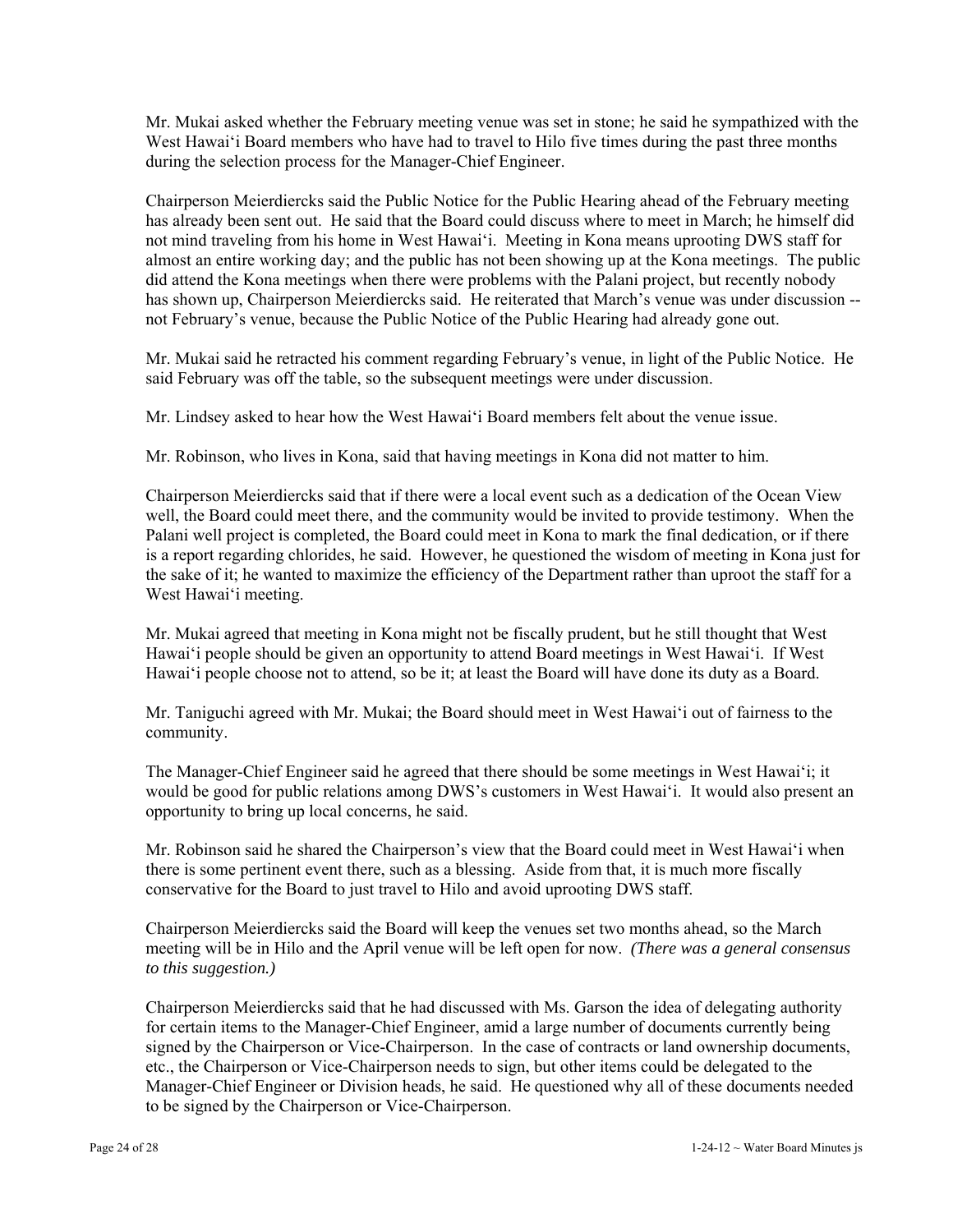Mr. Mukai asked whether the February meeting venue was set in stone; he said he sympathized with the West Hawai'i Board members who have had to travel to Hilo five times during the past three months during the selection process for the Manager-Chief Engineer.

Chairperson Meierdiercks said the Public Notice for the Public Hearing ahead of the February meeting has already been sent out. He said that the Board could discuss where to meet in March; he himself did not mind traveling from his home in West Hawai'i. Meeting in Kona means uprooting DWS staff for almost an entire working day; and the public has not been showing up at the Kona meetings. The public did attend the Kona meetings when there were problems with the Palani project, but recently nobody has shown up, Chairperson Meierdiercks said. He reiterated that March's venue was under discussion - not February's venue, because the Public Notice of the Public Hearing had already gone out.

Mr. Mukai said he retracted his comment regarding February's venue, in light of the Public Notice. He said February was off the table, so the subsequent meetings were under discussion.

Mr. Lindsey asked to hear how the West Hawai'i Board members felt about the venue issue.

Mr. Robinson, who lives in Kona, said that having meetings in Kona did not matter to him.

Chairperson Meierdiercks said that if there were a local event such as a dedication of the Ocean View well, the Board could meet there, and the community would be invited to provide testimony. When the Palani well project is completed, the Board could meet in Kona to mark the final dedication, or if there is a report regarding chlorides, he said. However, he questioned the wisdom of meeting in Kona just for the sake of it; he wanted to maximize the efficiency of the Department rather than uproot the staff for a West Hawai'i meeting.

Mr. Mukai agreed that meeting in Kona might not be fiscally prudent, but he still thought that West Hawai'i people should be given an opportunity to attend Board meetings in West Hawai'i. If West Hawai'i people choose not to attend, so be it; at least the Board will have done its duty as a Board.

Mr. Taniguchi agreed with Mr. Mukai; the Board should meet in West Hawai'i out of fairness to the community.

The Manager-Chief Engineer said he agreed that there should be some meetings in West Hawai'i; it would be good for public relations among DWS's customers in West Hawai'i. It would also present an opportunity to bring up local concerns, he said.

Mr. Robinson said he shared the Chairperson's view that the Board could meet in West Hawai'i when there is some pertinent event there, such as a blessing. Aside from that, it is much more fiscally conservative for the Board to just travel to Hilo and avoid uprooting DWS staff.

Chairperson Meierdiercks said the Board will keep the venues set two months ahead, so the March meeting will be in Hilo and the April venue will be left open for now. *(There was a general consensus to this suggestion.)* 

Chairperson Meierdiercks said that he had discussed with Ms. Garson the idea of delegating authority for certain items to the Manager-Chief Engineer, amid a large number of documents currently being signed by the Chairperson or Vice-Chairperson. In the case of contracts or land ownership documents, etc., the Chairperson or Vice-Chairperson needs to sign, but other items could be delegated to the Manager-Chief Engineer or Division heads, he said. He questioned why all of these documents needed to be signed by the Chairperson or Vice-Chairperson.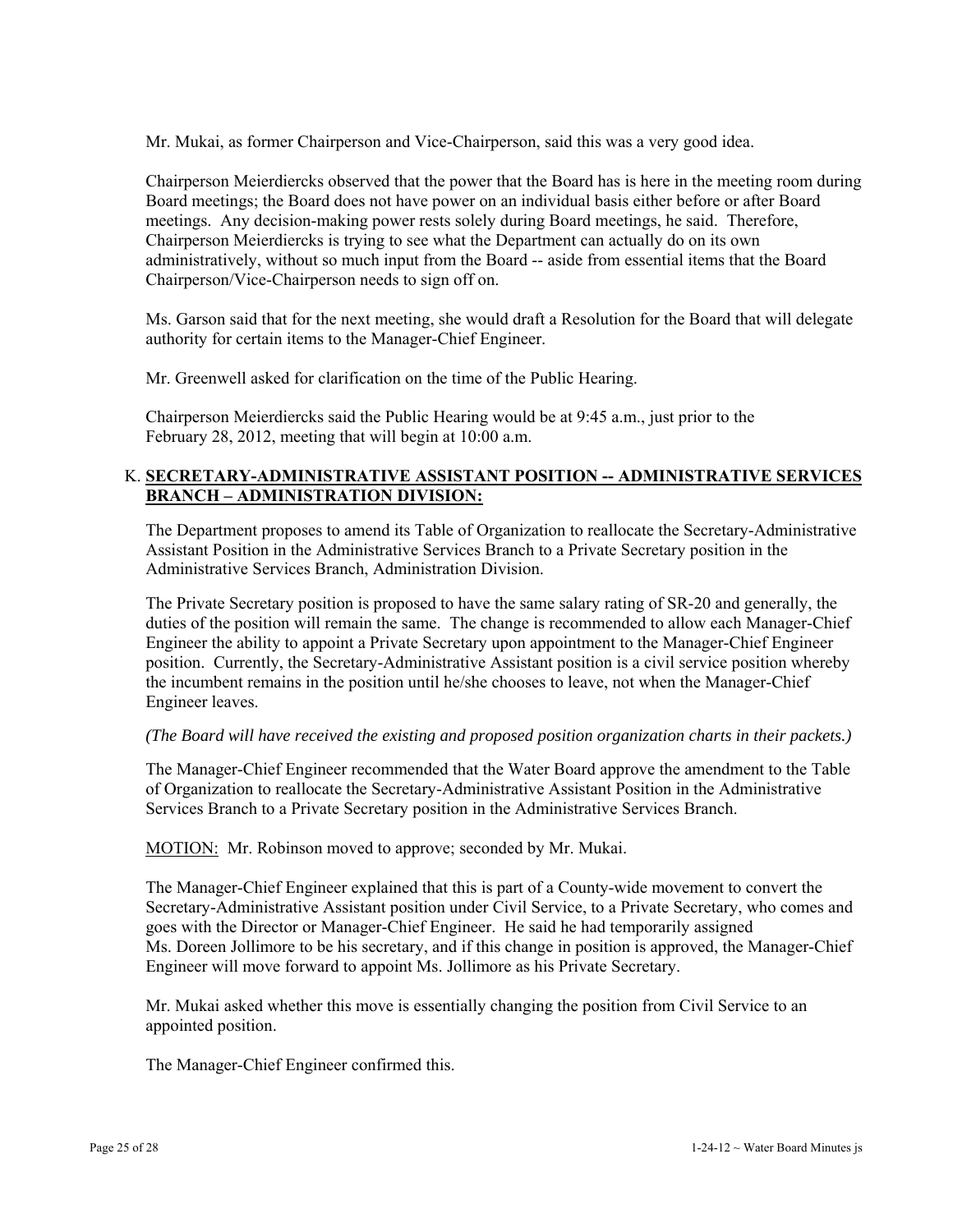Mr. Mukai, as former Chairperson and Vice-Chairperson, said this was a very good idea.

Chairperson Meierdiercks observed that the power that the Board has is here in the meeting room during Board meetings; the Board does not have power on an individual basis either before or after Board meetings. Any decision-making power rests solely during Board meetings, he said. Therefore, Chairperson Meierdiercks is trying to see what the Department can actually do on its own administratively, without so much input from the Board -- aside from essential items that the Board Chairperson/Vice-Chairperson needs to sign off on.

Ms. Garson said that for the next meeting, she would draft a Resolution for the Board that will delegate authority for certain items to the Manager-Chief Engineer.

Mr. Greenwell asked for clarification on the time of the Public Hearing.

Chairperson Meierdiercks said the Public Hearing would be at 9:45 a.m., just prior to the February 28, 2012, meeting that will begin at 10:00 a.m.

# K. **SECRETARY-ADMINISTRATIVE ASSISTANT POSITION -- ADMINISTRATIVE SERVICES BRANCH – ADMINISTRATION DIVISION:**

The Department proposes to amend its Table of Organization to reallocate the Secretary-Administrative Assistant Position in the Administrative Services Branch to a Private Secretary position in the Administrative Services Branch, Administration Division.

The Private Secretary position is proposed to have the same salary rating of SR-20 and generally, the duties of the position will remain the same. The change is recommended to allow each Manager-Chief Engineer the ability to appoint a Private Secretary upon appointment to the Manager-Chief Engineer position. Currently, the Secretary-Administrative Assistant position is a civil service position whereby the incumbent remains in the position until he/she chooses to leave, not when the Manager-Chief Engineer leaves.

## *(The Board will have received the existing and proposed position organization charts in their packets.)*

The Manager-Chief Engineer recommended that the Water Board approve the amendment to the Table of Organization to reallocate the Secretary-Administrative Assistant Position in the Administrative Services Branch to a Private Secretary position in the Administrative Services Branch.

MOTION: Mr. Robinson moved to approve; seconded by Mr. Mukai.

The Manager-Chief Engineer explained that this is part of a County-wide movement to convert the Secretary-Administrative Assistant position under Civil Service, to a Private Secretary, who comes and goes with the Director or Manager-Chief Engineer. He said he had temporarily assigned Ms. Doreen Jollimore to be his secretary, and if this change in position is approved, the Manager-Chief Engineer will move forward to appoint Ms. Jollimore as his Private Secretary.

Mr. Mukai asked whether this move is essentially changing the position from Civil Service to an appointed position.

The Manager-Chief Engineer confirmed this.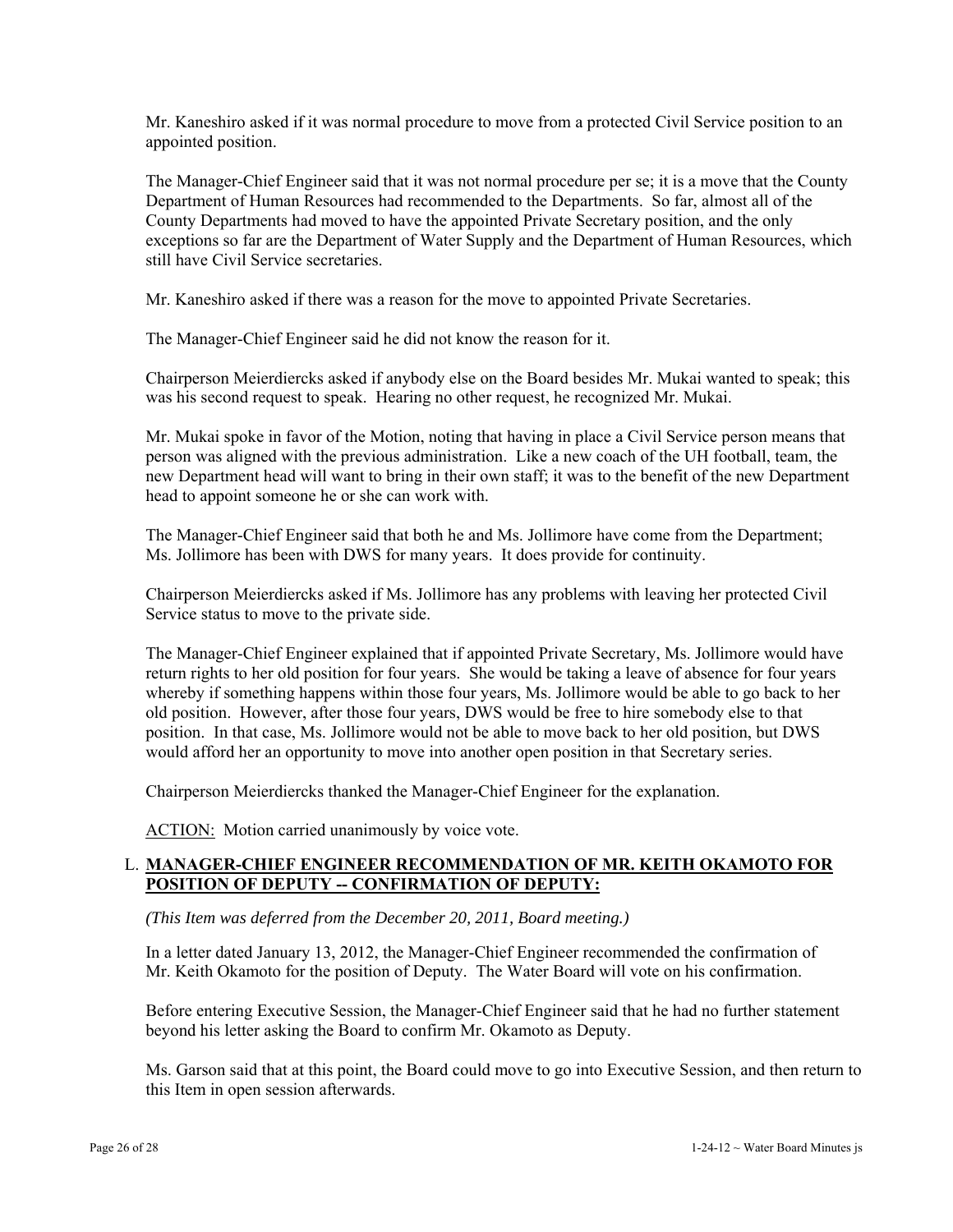Mr. Kaneshiro asked if it was normal procedure to move from a protected Civil Service position to an appointed position.

The Manager-Chief Engineer said that it was not normal procedure per se; it is a move that the County Department of Human Resources had recommended to the Departments. So far, almost all of the County Departments had moved to have the appointed Private Secretary position, and the only exceptions so far are the Department of Water Supply and the Department of Human Resources, which still have Civil Service secretaries.

Mr. Kaneshiro asked if there was a reason for the move to appointed Private Secretaries.

The Manager-Chief Engineer said he did not know the reason for it.

Chairperson Meierdiercks asked if anybody else on the Board besides Mr. Mukai wanted to speak; this was his second request to speak. Hearing no other request, he recognized Mr. Mukai.

Mr. Mukai spoke in favor of the Motion, noting that having in place a Civil Service person means that person was aligned with the previous administration. Like a new coach of the UH football, team, the new Department head will want to bring in their own staff; it was to the benefit of the new Department head to appoint someone he or she can work with.

The Manager-Chief Engineer said that both he and Ms. Jollimore have come from the Department; Ms. Jollimore has been with DWS for many years. It does provide for continuity.

Chairperson Meierdiercks asked if Ms. Jollimore has any problems with leaving her protected Civil Service status to move to the private side.

The Manager-Chief Engineer explained that if appointed Private Secretary, Ms. Jollimore would have return rights to her old position for four years. She would be taking a leave of absence for four years whereby if something happens within those four years, Ms. Jollimore would be able to go back to her old position. However, after those four years, DWS would be free to hire somebody else to that position. In that case, Ms. Jollimore would not be able to move back to her old position, but DWS would afford her an opportunity to move into another open position in that Secretary series.

Chairperson Meierdiercks thanked the Manager-Chief Engineer for the explanation.

ACTION: Motion carried unanimously by voice vote.

## L. **MANAGER-CHIEF ENGINEER RECOMMENDATION OF MR. KEITH OKAMOTO FOR POSITION OF DEPUTY -- CONFIRMATION OF DEPUTY:**

*(This Item was deferred from the December 20, 2011, Board meeting.)* 

In a letter dated January 13, 2012, the Manager-Chief Engineer recommended the confirmation of Mr. Keith Okamoto for the position of Deputy. The Water Board will vote on his confirmation.

Before entering Executive Session, the Manager-Chief Engineer said that he had no further statement beyond his letter asking the Board to confirm Mr. Okamoto as Deputy.

Ms. Garson said that at this point, the Board could move to go into Executive Session, and then return to this Item in open session afterwards.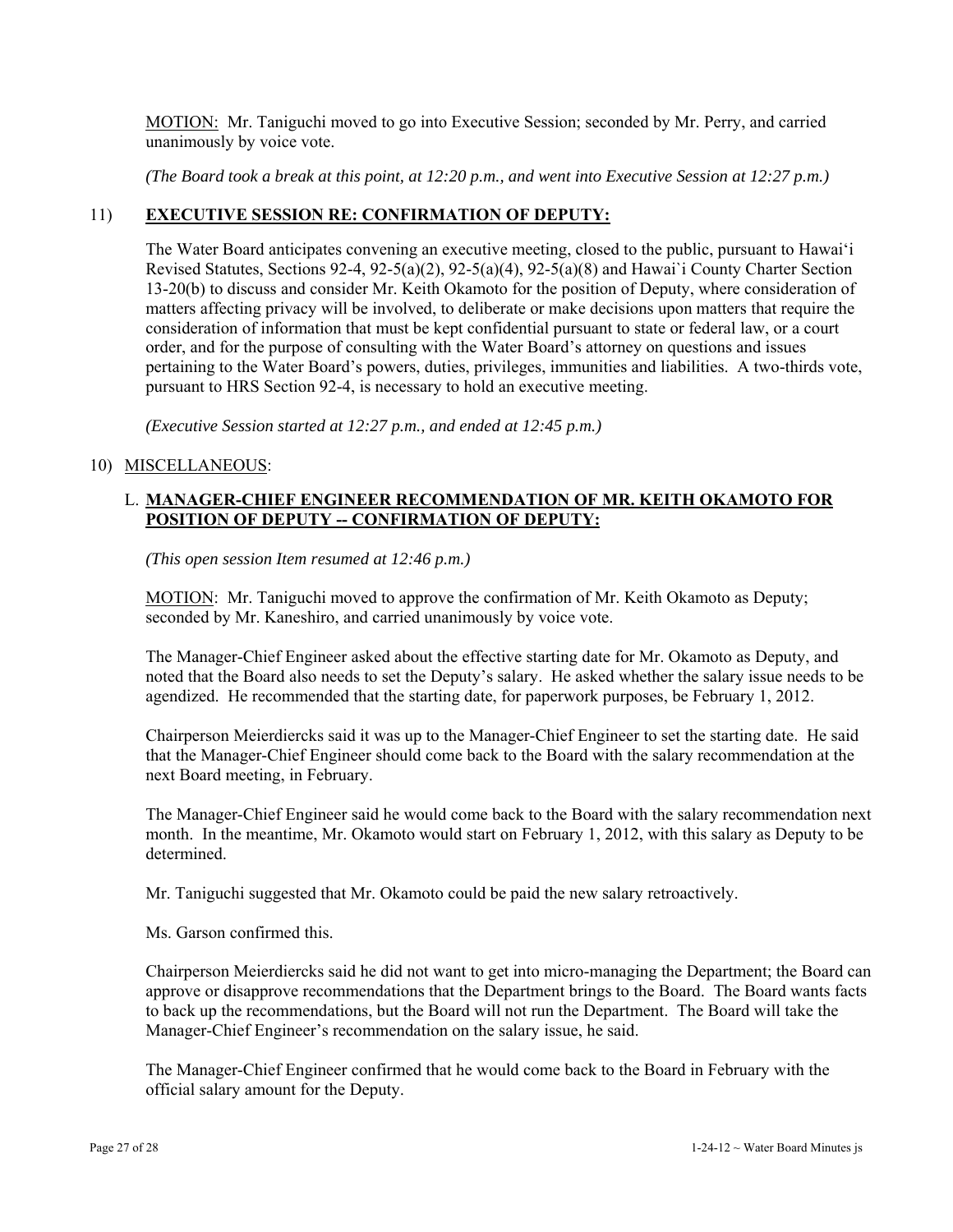MOTION: Mr. Taniguchi moved to go into Executive Session; seconded by Mr. Perry, and carried unanimously by voice vote.

*(The Board took a break at this point, at 12:20 p.m., and went into Executive Session at 12:27 p.m.)* 

## 11) **EXECUTIVE SESSION RE: CONFIRMATION OF DEPUTY:**

The Water Board anticipates convening an executive meeting, closed to the public, pursuant to Hawai'i Revised Statutes, Sections 92-4, 92-5(a)(2), 92-5(a)(4), 92-5(a)(8) and Hawai`i County Charter Section 13-20(b) to discuss and consider Mr. Keith Okamoto for the position of Deputy, where consideration of matters affecting privacy will be involved, to deliberate or make decisions upon matters that require the consideration of information that must be kept confidential pursuant to state or federal law, or a court order, and for the purpose of consulting with the Water Board's attorney on questions and issues pertaining to the Water Board's powers, duties, privileges, immunities and liabilities. A two-thirds vote, pursuant to HRS Section 92-4, is necessary to hold an executive meeting.

*(Executive Session started at 12:27 p.m., and ended at 12:45 p.m.)* 

#### 10) MISCELLANEOUS:

## L. **MANAGER-CHIEF ENGINEER RECOMMENDATION OF MR. KEITH OKAMOTO FOR POSITION OF DEPUTY -- CONFIRMATION OF DEPUTY:**

*(This open session Item resumed at 12:46 p.m.)* 

MOTION: Mr. Taniguchi moved to approve the confirmation of Mr. Keith Okamoto as Deputy; seconded by Mr. Kaneshiro, and carried unanimously by voice vote.

The Manager-Chief Engineer asked about the effective starting date for Mr. Okamoto as Deputy, and noted that the Board also needs to set the Deputy's salary. He asked whether the salary issue needs to be agendized. He recommended that the starting date, for paperwork purposes, be February 1, 2012.

Chairperson Meierdiercks said it was up to the Manager-Chief Engineer to set the starting date. He said that the Manager-Chief Engineer should come back to the Board with the salary recommendation at the next Board meeting, in February.

The Manager-Chief Engineer said he would come back to the Board with the salary recommendation next month. In the meantime, Mr. Okamoto would start on February 1, 2012, with this salary as Deputy to be determined.

Mr. Taniguchi suggested that Mr. Okamoto could be paid the new salary retroactively.

Ms. Garson confirmed this.

Chairperson Meierdiercks said he did not want to get into micro-managing the Department; the Board can approve or disapprove recommendations that the Department brings to the Board. The Board wants facts to back up the recommendations, but the Board will not run the Department. The Board will take the Manager-Chief Engineer's recommendation on the salary issue, he said.

The Manager-Chief Engineer confirmed that he would come back to the Board in February with the official salary amount for the Deputy.